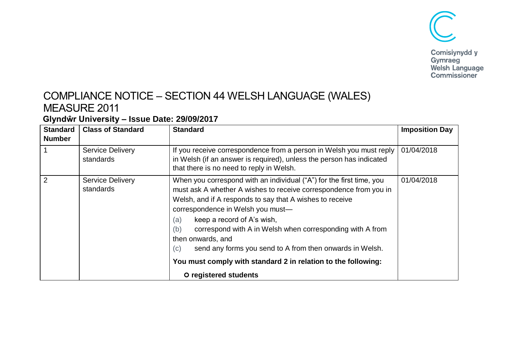

## COMPLIANCE NOTICE – SECTION 44 WELSH LANGUAGE (WALES) MEASURE 2011

## **Glyndŵr University – Issue Date: 29/09/2017**

| <b>Standard</b><br><b>Number</b> | <b>Class of Standard</b>             | <b>Standard</b>                                                                                                                                                                                                                                                                                                                                                                                                                                                                                                                       | <b>Imposition Day</b> |
|----------------------------------|--------------------------------------|---------------------------------------------------------------------------------------------------------------------------------------------------------------------------------------------------------------------------------------------------------------------------------------------------------------------------------------------------------------------------------------------------------------------------------------------------------------------------------------------------------------------------------------|-----------------------|
|                                  | <b>Service Delivery</b><br>standards | If you receive correspondence from a person in Welsh you must reply<br>in Welsh (if an answer is required), unless the person has indicated<br>that there is no need to reply in Welsh.                                                                                                                                                                                                                                                                                                                                               | 01/04/2018            |
| 2                                | <b>Service Delivery</b><br>standards | When you correspond with an individual ("A") for the first time, you<br>must ask A whether A wishes to receive correspondence from you in<br>Welsh, and if A responds to say that A wishes to receive<br>correspondence in Welsh you must-<br>keep a record of A's wish,<br>(a)<br>correspond with A in Welsh when corresponding with A from<br>(b)<br>then onwards, and<br>send any forms you send to A from then onwards in Welsh.<br>(c)<br>You must comply with standard 2 in relation to the following:<br>O registered students | 01/04/2018            |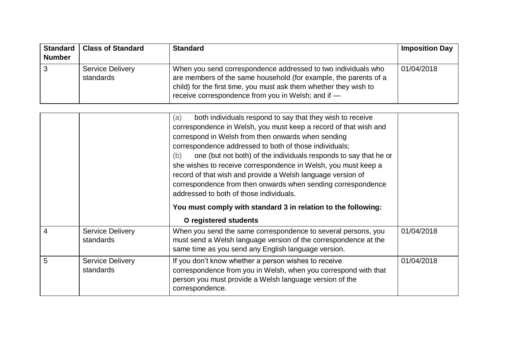| <b>Number</b> | Standard   Class of Standard         | <b>Standard</b>                                                                                                                                                                                                                                              | <b>Imposition Day</b> |
|---------------|--------------------------------------|--------------------------------------------------------------------------------------------------------------------------------------------------------------------------------------------------------------------------------------------------------------|-----------------------|
|               | <b>Service Delivery</b><br>standards | When you send correspondence addressed to two individuals who<br>are members of the same household (for example, the parents of a<br>child) for the first time, you must ask them whether they wish to<br>receive correspondence from you in Welsh; and if - | 01/04/2018            |

| 5 | <b>Service Delivery</b><br>standards | If you don't know whether a person wishes to receive<br>correspondence from you in Welsh, when you correspond with that<br>person you must provide a Welsh language version of the<br>correspondence.                                                                                                                              | 01/04/2018 |
|---|--------------------------------------|------------------------------------------------------------------------------------------------------------------------------------------------------------------------------------------------------------------------------------------------------------------------------------------------------------------------------------|------------|
| 4 | <b>Service Delivery</b><br>standards | When you send the same correspondence to several persons, you<br>must send a Welsh language version of the correspondence at the<br>same time as you send any English language version.                                                                                                                                            | 01/04/2018 |
|   |                                      | she wishes to receive correspondence in Welsh, you must keep a<br>record of that wish and provide a Welsh language version of<br>correspondence from then onwards when sending correspondence<br>addressed to both of those individuals.<br>You must comply with standard 3 in relation to the following:<br>O registered students |            |
|   |                                      | both individuals respond to say that they wish to receive<br>(a)<br>correspondence in Welsh, you must keep a record of that wish and<br>correspond in Welsh from then onwards when sending<br>correspondence addressed to both of those individuals;<br>one (but not both) of the individuals responds to say that he or<br>(b)    |            |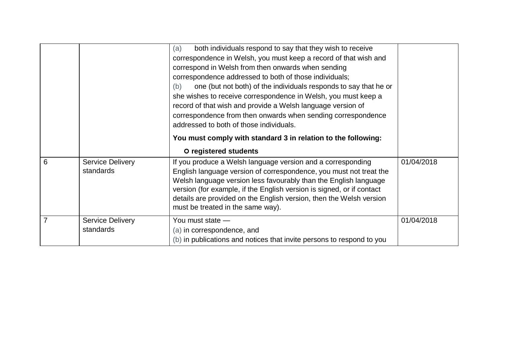|   |                                      | both individuals respond to say that they wish to receive<br>(a)<br>correspondence in Welsh, you must keep a record of that wish and<br>correspond in Welsh from then onwards when sending<br>correspondence addressed to both of those individuals;<br>one (but not both) of the individuals responds to say that he or<br>(b)<br>she wishes to receive correspondence in Welsh, you must keep a<br>record of that wish and provide a Welsh language version of<br>correspondence from then onwards when sending correspondence<br>addressed to both of those individuals.<br>You must comply with standard 3 in relation to the following:<br>O registered students |            |
|---|--------------------------------------|-----------------------------------------------------------------------------------------------------------------------------------------------------------------------------------------------------------------------------------------------------------------------------------------------------------------------------------------------------------------------------------------------------------------------------------------------------------------------------------------------------------------------------------------------------------------------------------------------------------------------------------------------------------------------|------------|
| 6 | <b>Service Delivery</b><br>standards | If you produce a Welsh language version and a corresponding<br>English language version of correspondence, you must not treat the<br>Welsh language version less favourably than the English language<br>version (for example, if the English version is signed, or if contact<br>details are provided on the English version, then the Welsh version<br>must be treated in the same way).                                                                                                                                                                                                                                                                            | 01/04/2018 |
| 7 | <b>Service Delivery</b><br>standards | You must state -<br>(a) in correspondence, and<br>(b) in publications and notices that invite persons to respond to you                                                                                                                                                                                                                                                                                                                                                                                                                                                                                                                                               | 01/04/2018 |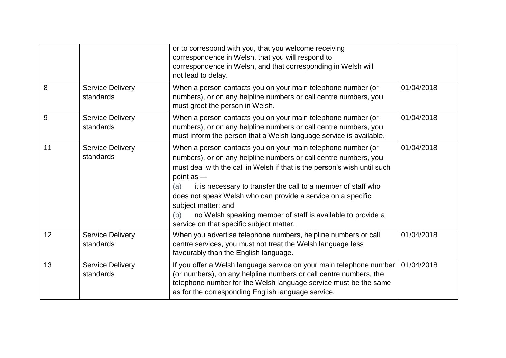|    |                                      | or to correspond with you, that you welcome receiving<br>correspondence in Welsh, that you will respond to<br>correspondence in Welsh, and that corresponding in Welsh will<br>not lead to delay.                                                                                                                                                                                                                                                                                                               |            |
|----|--------------------------------------|-----------------------------------------------------------------------------------------------------------------------------------------------------------------------------------------------------------------------------------------------------------------------------------------------------------------------------------------------------------------------------------------------------------------------------------------------------------------------------------------------------------------|------------|
| 8  | <b>Service Delivery</b><br>standards | When a person contacts you on your main telephone number (or<br>numbers), or on any helpline numbers or call centre numbers, you<br>must greet the person in Welsh.                                                                                                                                                                                                                                                                                                                                             | 01/04/2018 |
| 9  | <b>Service Delivery</b><br>standards | When a person contacts you on your main telephone number (or<br>numbers), or on any helpline numbers or call centre numbers, you<br>must inform the person that a Welsh language service is available.                                                                                                                                                                                                                                                                                                          | 01/04/2018 |
| 11 | <b>Service Delivery</b><br>standards | When a person contacts you on your main telephone number (or<br>numbers), or on any helpline numbers or call centre numbers, you<br>must deal with the call in Welsh if that is the person's wish until such<br>point $as$ $-$<br>it is necessary to transfer the call to a member of staff who<br>(a)<br>does not speak Welsh who can provide a service on a specific<br>subject matter; and<br>no Welsh speaking member of staff is available to provide a<br>(b)<br>service on that specific subject matter. | 01/04/2018 |
| 12 | <b>Service Delivery</b><br>standards | When you advertise telephone numbers, helpline numbers or call<br>centre services, you must not treat the Welsh language less<br>favourably than the English language.                                                                                                                                                                                                                                                                                                                                          | 01/04/2018 |
| 13 | <b>Service Delivery</b><br>standards | If you offer a Welsh language service on your main telephone number<br>(or numbers), on any helpline numbers or call centre numbers, the<br>telephone number for the Welsh language service must be the same<br>as for the corresponding English language service.                                                                                                                                                                                                                                              | 01/04/2018 |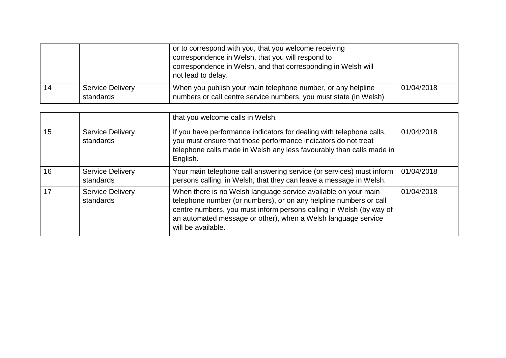|    |                                      | or to correspond with you, that you welcome receiving<br>correspondence in Welsh, that you will respond to<br>correspondence in Welsh, and that corresponding in Welsh will<br>not lead to delay. |            |
|----|--------------------------------------|---------------------------------------------------------------------------------------------------------------------------------------------------------------------------------------------------|------------|
| 14 | <b>Service Delivery</b><br>standards | When you publish your main telephone number, or any helpline<br>numbers or call centre service numbers, you must state (in Welsh)                                                                 | 01/04/2018 |

|    |                                      | that you welcome calls in Welsh.                                                                                                                                                                                                                                                                  |            |
|----|--------------------------------------|---------------------------------------------------------------------------------------------------------------------------------------------------------------------------------------------------------------------------------------------------------------------------------------------------|------------|
| 15 | <b>Service Delivery</b><br>standards | If you have performance indicators for dealing with telephone calls,<br>you must ensure that those performance indicators do not treat<br>telephone calls made in Welsh any less favourably than calls made in<br>English.                                                                        | 01/04/2018 |
| 16 | <b>Service Delivery</b><br>standards | Your main telephone call answering service (or services) must inform<br>persons calling, in Welsh, that they can leave a message in Welsh.                                                                                                                                                        | 01/04/2018 |
| 17 | <b>Service Delivery</b><br>standards | When there is no Welsh language service available on your main<br>telephone number (or numbers), or on any helpline numbers or call<br>centre numbers, you must inform persons calling in Welsh (by way of<br>an automated message or other), when a Welsh language service<br>will be available. | 01/04/2018 |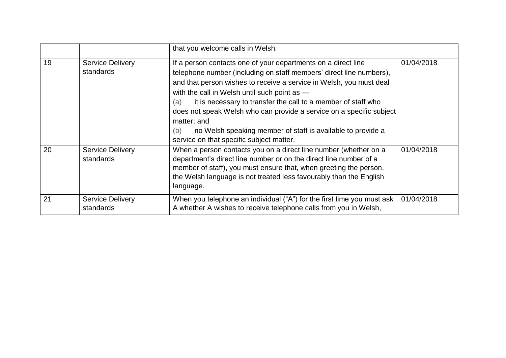|    |                                      | that you welcome calls in Welsh.                                                                                                                                                                                                                                                                                                                                                                                                                                                                                                             |            |
|----|--------------------------------------|----------------------------------------------------------------------------------------------------------------------------------------------------------------------------------------------------------------------------------------------------------------------------------------------------------------------------------------------------------------------------------------------------------------------------------------------------------------------------------------------------------------------------------------------|------------|
| 19 | <b>Service Delivery</b><br>standards | If a person contacts one of your departments on a direct line<br>telephone number (including on staff members' direct line numbers),<br>and that person wishes to receive a service in Welsh, you must deal<br>with the call in Welsh until such point as -<br>it is necessary to transfer the call to a member of staff who<br>(a)<br>does not speak Welsh who can provide a service on a specific subject<br>matter; and<br>no Welsh speaking member of staff is available to provide a<br>(b)<br>service on that specific subject matter. | 01/04/2018 |
| 20 | <b>Service Delivery</b><br>standards | When a person contacts you on a direct line number (whether on a<br>department's direct line number or on the direct line number of a<br>member of staff), you must ensure that, when greeting the person,<br>the Welsh language is not treated less favourably than the English<br>language.                                                                                                                                                                                                                                                | 01/04/2018 |
| 21 | <b>Service Delivery</b><br>standards | When you telephone an individual ("A") for the first time you must ask<br>A whether A wishes to receive telephone calls from you in Welsh,                                                                                                                                                                                                                                                                                                                                                                                                   | 01/04/2018 |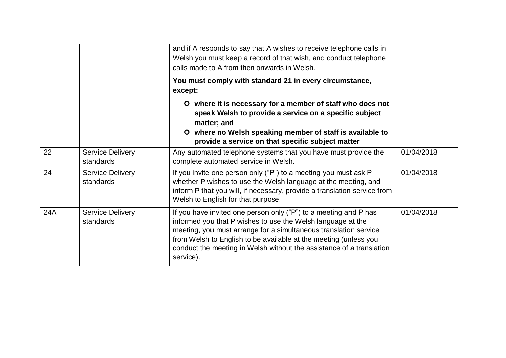|     |                                      | and if A responds to say that A wishes to receive telephone calls in<br>Welsh you must keep a record of that wish, and conduct telephone<br>calls made to A from then onwards in Welsh.                                                                                                                                                                      |            |
|-----|--------------------------------------|--------------------------------------------------------------------------------------------------------------------------------------------------------------------------------------------------------------------------------------------------------------------------------------------------------------------------------------------------------------|------------|
|     |                                      | You must comply with standard 21 in every circumstance,<br>except:                                                                                                                                                                                                                                                                                           |            |
|     |                                      | O where it is necessary for a member of staff who does not<br>speak Welsh to provide a service on a specific subject<br>matter; and<br>O where no Welsh speaking member of staff is available to<br>provide a service on that specific subject matter                                                                                                        |            |
| 22  | <b>Service Delivery</b><br>standards | Any automated telephone systems that you have must provide the<br>complete automated service in Welsh.                                                                                                                                                                                                                                                       | 01/04/2018 |
| 24  | <b>Service Delivery</b><br>standards | If you invite one person only ("P") to a meeting you must ask P<br>whether P wishes to use the Welsh language at the meeting, and<br>inform P that you will, if necessary, provide a translation service from<br>Welsh to English for that purpose.                                                                                                          | 01/04/2018 |
| 24A | <b>Service Delivery</b><br>standards | If you have invited one person only ("P") to a meeting and P has<br>informed you that P wishes to use the Welsh language at the<br>meeting, you must arrange for a simultaneous translation service<br>from Welsh to English to be available at the meeting (unless you<br>conduct the meeting in Welsh without the assistance of a translation<br>service). | 01/04/2018 |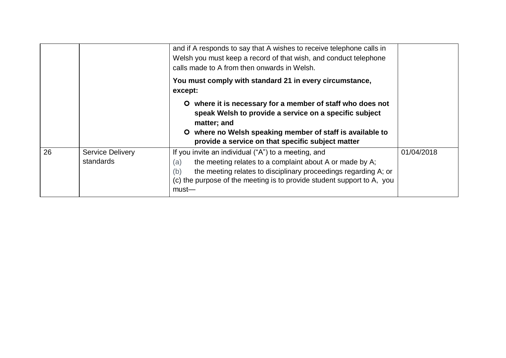|    |                                      | and if A responds to say that A wishes to receive telephone calls in<br>Welsh you must keep a record of that wish, and conduct telephone<br>calls made to A from then onwards in Welsh.                                                                                                |            |
|----|--------------------------------------|----------------------------------------------------------------------------------------------------------------------------------------------------------------------------------------------------------------------------------------------------------------------------------------|------------|
|    |                                      | You must comply with standard 21 in every circumstance,<br>except:                                                                                                                                                                                                                     |            |
|    |                                      | O where it is necessary for a member of staff who does not<br>speak Welsh to provide a service on a specific subject<br>matter; and<br>where no Welsh speaking member of staff is available to<br>O.<br>provide a service on that specific subject matter                              |            |
| 26 | <b>Service Delivery</b><br>standards | If you invite an individual ("A") to a meeting, and<br>the meeting relates to a complaint about A or made by A;<br>(a)<br>the meeting relates to disciplinary proceedings regarding A; or<br>(b)<br>(c) the purpose of the meeting is to provide student support to A, you<br>$must$ — | 01/04/2018 |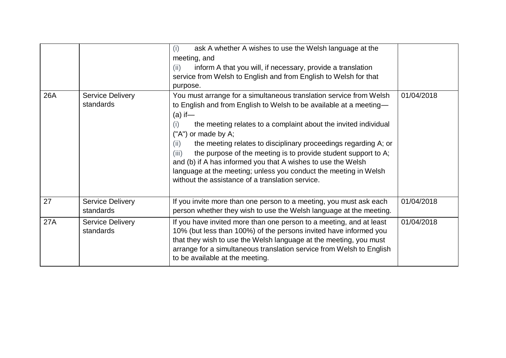|     |                                      | ask A whether A wishes to use the Welsh language at the<br>(i)<br>meeting, and<br>inform A that you will, if necessary, provide a translation<br>(ii)<br>service from Welsh to English and from English to Welsh for that<br>purpose.                                                                                                                                                                                                                                                                                                                                                                 |            |
|-----|--------------------------------------|-------------------------------------------------------------------------------------------------------------------------------------------------------------------------------------------------------------------------------------------------------------------------------------------------------------------------------------------------------------------------------------------------------------------------------------------------------------------------------------------------------------------------------------------------------------------------------------------------------|------------|
| 26A | <b>Service Delivery</b><br>standards | You must arrange for a simultaneous translation service from Welsh<br>to English and from English to Welsh to be available at a meeting-<br>$(a)$ if —<br>the meeting relates to a complaint about the invited individual<br>(i)<br>("A") or made by A;<br>the meeting relates to disciplinary proceedings regarding A; or<br>(ii)<br>the purpose of the meeting is to provide student support to A;<br>(iii)<br>and (b) if A has informed you that A wishes to use the Welsh<br>language at the meeting; unless you conduct the meeting in Welsh<br>without the assistance of a translation service. | 01/04/2018 |
| 27  | <b>Service Delivery</b><br>standards | If you invite more than one person to a meeting, you must ask each<br>person whether they wish to use the Welsh language at the meeting.                                                                                                                                                                                                                                                                                                                                                                                                                                                              | 01/04/2018 |
| 27A | <b>Service Delivery</b><br>standards | If you have invited more than one person to a meeting, and at least<br>10% (but less than 100%) of the persons invited have informed you<br>that they wish to use the Welsh language at the meeting, you must<br>arrange for a simultaneous translation service from Welsh to English<br>to be available at the meeting.                                                                                                                                                                                                                                                                              | 01/04/2018 |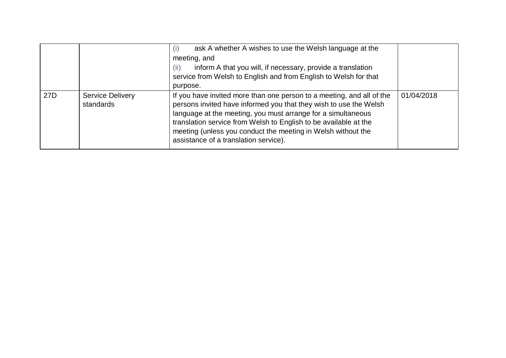|                 |                                      | ask A whether A wishes to use the Welsh language at the<br>(i)<br>meeting, and<br>inform A that you will, if necessary, provide a translation<br>(ii)<br>service from Welsh to English and from English to Welsh for that<br>purpose.                                                                                                                                                   |            |
|-----------------|--------------------------------------|-----------------------------------------------------------------------------------------------------------------------------------------------------------------------------------------------------------------------------------------------------------------------------------------------------------------------------------------------------------------------------------------|------------|
| 27 <sub>D</sub> | <b>Service Delivery</b><br>standards | If you have invited more than one person to a meeting, and all of the<br>persons invited have informed you that they wish to use the Welsh<br>language at the meeting, you must arrange for a simultaneous<br>translation service from Welsh to English to be available at the<br>meeting (unless you conduct the meeting in Welsh without the<br>assistance of a translation service). | 01/04/2018 |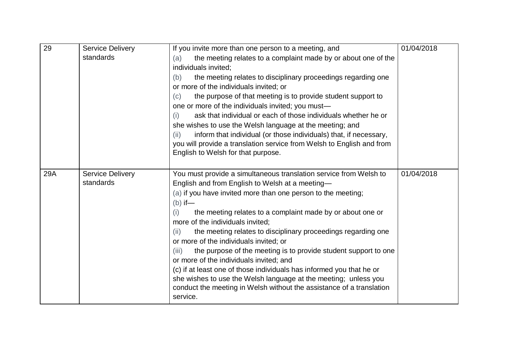| 29  | <b>Service Delivery</b> | If you invite more than one person to a meeting, and                                                  | 01/04/2018 |
|-----|-------------------------|-------------------------------------------------------------------------------------------------------|------------|
|     | standards               | the meeting relates to a complaint made by or about one of the<br>(a)                                 |            |
|     |                         | individuals invited;                                                                                  |            |
|     |                         | the meeting relates to disciplinary proceedings regarding one<br>(b)                                  |            |
|     |                         | or more of the individuals invited; or                                                                |            |
|     |                         | the purpose of that meeting is to provide student support to<br>(c)                                   |            |
|     |                         | one or more of the individuals invited; you must-                                                     |            |
|     |                         | ask that individual or each of those individuals whether he or<br>(i)                                 |            |
|     |                         | she wishes to use the Welsh language at the meeting; and                                              |            |
|     |                         | inform that individual (or those individuals) that, if necessary,<br>(ii)                             |            |
|     |                         | you will provide a translation service from Welsh to English and from                                 |            |
|     |                         | English to Welsh for that purpose.                                                                    |            |
|     |                         |                                                                                                       |            |
| 29A | <b>Service Delivery</b> | You must provide a simultaneous translation service from Welsh to                                     | 01/04/2018 |
|     | standards               | English and from English to Welsh at a meeting-                                                       |            |
|     |                         | (a) if you have invited more than one person to the meeting;<br>$(b)$ if —                            |            |
|     |                         | the meeting relates to a complaint made by or about one or<br>(i)<br>more of the individuals invited; |            |
|     |                         | the meeting relates to disciplinary proceedings regarding one<br>(ii)                                 |            |
|     |                         | or more of the individuals invited; or                                                                |            |
|     |                         | the purpose of the meeting is to provide student support to one<br>(iii)                              |            |
|     |                         | or more of the individuals invited; and                                                               |            |
|     |                         | (c) if at least one of those individuals has informed you that he or                                  |            |
|     |                         | she wishes to use the Welsh language at the meeting; unless you                                       |            |
|     |                         | conduct the meeting in Welsh without the assistance of a translation                                  |            |
|     |                         | service.                                                                                              |            |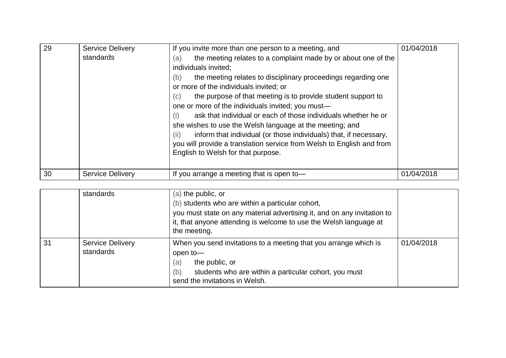| 29 | <b>Service Delivery</b><br>standards | If you invite more than one person to a meeting, and<br>the meeting relates to a complaint made by or about one of the<br>(a)<br>individuals invited;<br>the meeting relates to disciplinary proceedings regarding one<br>(b)<br>or more of the individuals invited; or<br>the purpose of that meeting is to provide student support to<br>(c)<br>one or more of the individuals invited; you must—<br>ask that individual or each of those individuals whether he or<br>(i)<br>she wishes to use the Welsh language at the meeting; and<br>inform that individual (or those individuals) that, if necessary,<br>(ii)<br>you will provide a translation service from Welsh to English and from<br>English to Welsh for that purpose. | 01/04/2018 |
|----|--------------------------------------|--------------------------------------------------------------------------------------------------------------------------------------------------------------------------------------------------------------------------------------------------------------------------------------------------------------------------------------------------------------------------------------------------------------------------------------------------------------------------------------------------------------------------------------------------------------------------------------------------------------------------------------------------------------------------------------------------------------------------------------|------------|
| 30 | <b>Service Delivery</b>              | If you arrange a meeting that is open to-                                                                                                                                                                                                                                                                                                                                                                                                                                                                                                                                                                                                                                                                                            | 01/04/2018 |

|    | standards                            | $(a)$ the public, or<br>(b) students who are within a particular cohort,<br>you must state on any material advertising it, and on any invitation to<br>it, that anyone attending is welcome to use the Welsh language at<br>the meeting. |            |
|----|--------------------------------------|------------------------------------------------------------------------------------------------------------------------------------------------------------------------------------------------------------------------------------------|------------|
| 31 | <b>Service Delivery</b><br>standards | When you send invitations to a meeting that you arrange which is<br>open to-<br>(a)<br>the public, or<br>(b)<br>students who are within a particular cohort, you must<br>send the invitations in Welsh.                                  | 01/04/2018 |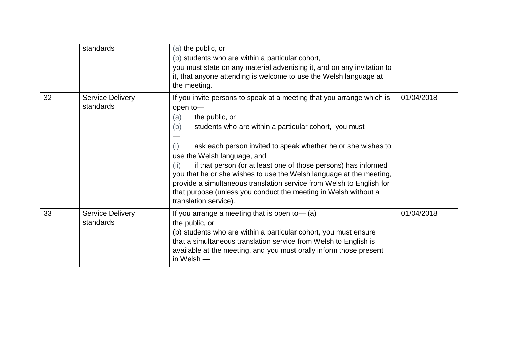|    | standards                            | (a) the public, or<br>(b) students who are within a particular cohort,<br>you must state on any material advertising it, and on any invitation to<br>it, that anyone attending is welcome to use the Welsh language at<br>the meeting.                                                                                                                                                                                                                                                                                                                                                                |            |
|----|--------------------------------------|-------------------------------------------------------------------------------------------------------------------------------------------------------------------------------------------------------------------------------------------------------------------------------------------------------------------------------------------------------------------------------------------------------------------------------------------------------------------------------------------------------------------------------------------------------------------------------------------------------|------------|
| 32 | <b>Service Delivery</b><br>standards | If you invite persons to speak at a meeting that you arrange which is<br>open to-<br>(a)<br>the public, or<br>students who are within a particular cohort, you must<br>(b)<br>ask each person invited to speak whether he or she wishes to<br>(i)<br>use the Welsh language, and<br>if that person (or at least one of those persons) has informed<br>(ii)<br>you that he or she wishes to use the Welsh language at the meeting,<br>provide a simultaneous translation service from Welsh to English for<br>that purpose (unless you conduct the meeting in Welsh without a<br>translation service). | 01/04/2018 |
| 33 | <b>Service Delivery</b><br>standards | If you arrange a meeting that is open to $-$ (a)<br>the public, or<br>(b) students who are within a particular cohort, you must ensure<br>that a simultaneous translation service from Welsh to English is<br>available at the meeting, and you must orally inform those present<br>in Welsh $-$                                                                                                                                                                                                                                                                                                      | 01/04/2018 |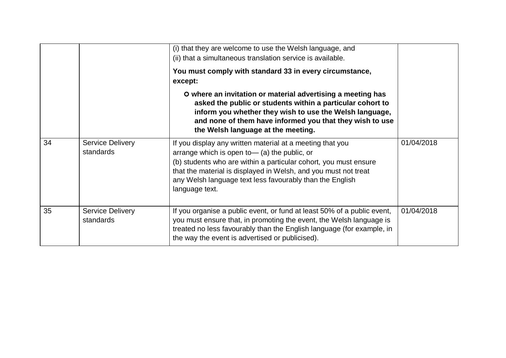|    |                                      | (i) that they are welcome to use the Welsh language, and<br>(ii) that a simultaneous translation service is available.<br>You must comply with standard 33 in every circumstance,<br>except:                                                                                                                                      |            |
|----|--------------------------------------|-----------------------------------------------------------------------------------------------------------------------------------------------------------------------------------------------------------------------------------------------------------------------------------------------------------------------------------|------------|
|    |                                      | O where an invitation or material advertising a meeting has<br>asked the public or students within a particular cohort to<br>inform you whether they wish to use the Welsh language,<br>and none of them have informed you that they wish to use<br>the Welsh language at the meeting.                                            |            |
| 34 | <b>Service Delivery</b><br>standards | If you display any written material at a meeting that you<br>arrange which is open to $-$ (a) the public, or<br>(b) students who are within a particular cohort, you must ensure<br>that the material is displayed in Welsh, and you must not treat<br>any Welsh language text less favourably than the English<br>language text. | 01/04/2018 |
| 35 | <b>Service Delivery</b><br>standards | If you organise a public event, or fund at least 50% of a public event,<br>you must ensure that, in promoting the event, the Welsh language is<br>treated no less favourably than the English language (for example, in<br>the way the event is advertised or publicised).                                                        | 01/04/2018 |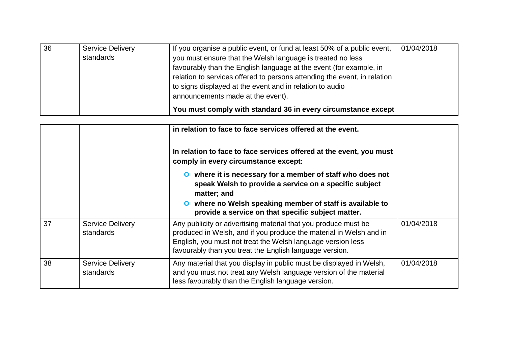| 36 | <b>Service Delivery</b> | If you organise a public event, or fund at least 50% of a public event,  | 01/04/2018 |
|----|-------------------------|--------------------------------------------------------------------------|------------|
|    | standards               | you must ensure that the Welsh language is treated no less               |            |
|    |                         | favourably than the English language at the event (for example, in       |            |
|    |                         | relation to services offered to persons attending the event, in relation |            |
|    |                         | to signs displayed at the event and in relation to audio                 |            |
|    |                         | announcements made at the event).                                        |            |
|    |                         | You must comply with standard 36 in every circumstance except            |            |

|    |                                      | in relation to face to face services offered at the event.<br>In relation to face to face services offered at the event, you must<br>comply in every circumstance except:                                                                                      |            |
|----|--------------------------------------|----------------------------------------------------------------------------------------------------------------------------------------------------------------------------------------------------------------------------------------------------------------|------------|
|    |                                      | O where it is necessary for a member of staff who does not<br>speak Welsh to provide a service on a specific subject<br>matter; and<br>where no Welsh speaking member of staff is available to<br>provide a service on that specific subject matter.           |            |
| 37 | <b>Service Delivery</b><br>standards | Any publicity or advertising material that you produce must be<br>produced in Welsh, and if you produce the material in Welsh and in<br>English, you must not treat the Welsh language version less<br>favourably than you treat the English language version. | 01/04/2018 |
| 38 | <b>Service Delivery</b><br>standards | Any material that you display in public must be displayed in Welsh,<br>and you must not treat any Welsh language version of the material<br>less favourably than the English language version.                                                                 | 01/04/2018 |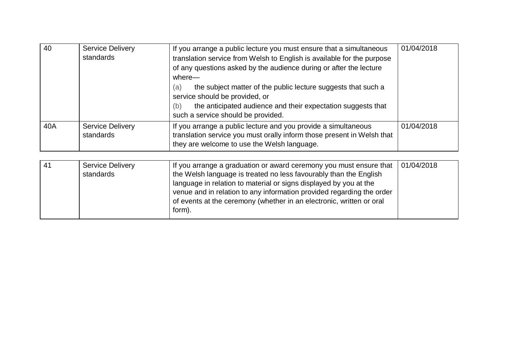| 40  | <b>Service Delivery</b><br>standards | If you arrange a public lecture you must ensure that a simultaneous<br>translation service from Welsh to English is available for the purpose<br>of any questions asked by the audience during or after the lecture<br>$where -$<br>the subject matter of the public lecture suggests that such a<br>(a)<br>service should be provided, or<br>the anticipated audience and their expectation suggests that<br>(b)<br>such a service should be provided. | 01/04/2018 |
|-----|--------------------------------------|---------------------------------------------------------------------------------------------------------------------------------------------------------------------------------------------------------------------------------------------------------------------------------------------------------------------------------------------------------------------------------------------------------------------------------------------------------|------------|
| 40A | <b>Service Delivery</b><br>standards | If you arrange a public lecture and you provide a simultaneous<br>translation service you must orally inform those present in Welsh that<br>they are welcome to use the Welsh language.                                                                                                                                                                                                                                                                 | 01/04/2018 |

| -41 | <b>Service Delivery</b> | If you arrange a graduation or award ceremony you must ensure that    | 01/04/2018 |
|-----|-------------------------|-----------------------------------------------------------------------|------------|
|     | standards               | the Welsh language is treated no less favourably than the English     |            |
|     |                         | language in relation to material or signs displayed by you at the     |            |
|     |                         | venue and in relation to any information provided regarding the order |            |
|     |                         | of events at the ceremony (whether in an electronic, written or oral  |            |
|     |                         | form).                                                                |            |
|     |                         |                                                                       |            |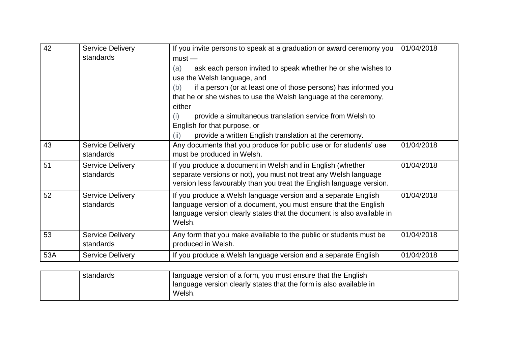| 42  | <b>Service Delivery</b>              | If you invite persons to speak at a graduation or award ceremony you                                                                                                                                                   | 01/04/2018 |
|-----|--------------------------------------|------------------------------------------------------------------------------------------------------------------------------------------------------------------------------------------------------------------------|------------|
|     | standards                            | $must -$                                                                                                                                                                                                               |            |
|     |                                      | ask each person invited to speak whether he or she wishes to<br>(a)<br>use the Welsh language, and                                                                                                                     |            |
|     |                                      | if a person (or at least one of those persons) has informed you<br>(b)                                                                                                                                                 |            |
|     |                                      | that he or she wishes to use the Welsh language at the ceremony,                                                                                                                                                       |            |
|     |                                      | either                                                                                                                                                                                                                 |            |
|     |                                      | provide a simultaneous translation service from Welsh to<br>(i)                                                                                                                                                        |            |
|     |                                      | English for that purpose, or                                                                                                                                                                                           |            |
|     |                                      | provide a written English translation at the ceremony.<br>(ii)                                                                                                                                                         |            |
| 43  | <b>Service Delivery</b><br>standards | Any documents that you produce for public use or for students' use<br>must be produced in Welsh.                                                                                                                       | 01/04/2018 |
| 51  | <b>Service Delivery</b><br>standards | If you produce a document in Welsh and in English (whether<br>separate versions or not), you must not treat any Welsh language<br>version less favourably than you treat the English language version.                 | 01/04/2018 |
| 52  | <b>Service Delivery</b><br>standards | If you produce a Welsh language version and a separate English<br>language version of a document, you must ensure that the English<br>language version clearly states that the document is also available in<br>Welsh. | 01/04/2018 |
| 53  | <b>Service Delivery</b><br>standards | Any form that you make available to the public or students must be<br>produced in Welsh.                                                                                                                               | 01/04/2018 |
| 53A | <b>Service Delivery</b>              | If you produce a Welsh language version and a separate English                                                                                                                                                         | 01/04/2018 |

| standards | I language version of a form, you must ensure that the English     |  |
|-----------|--------------------------------------------------------------------|--|
|           | language version clearly states that the form is also available in |  |
|           | Welsh.                                                             |  |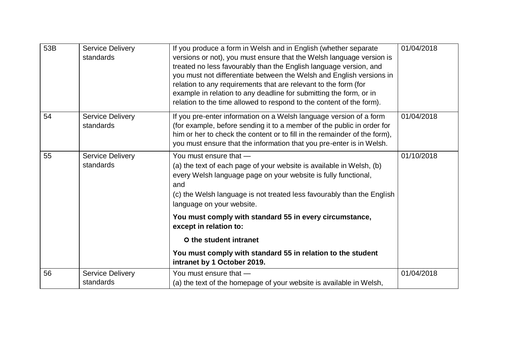| 53B | <b>Service Delivery</b><br>standards | If you produce a form in Welsh and in English (whether separate<br>versions or not), you must ensure that the Welsh language version is<br>treated no less favourably than the English language version, and<br>you must not differentiate between the Welsh and English versions in<br>relation to any requirements that are relevant to the form (for<br>example in relation to any deadline for submitting the form, or in<br>relation to the time allowed to respond to the content of the form). | 01/04/2018 |
|-----|--------------------------------------|-------------------------------------------------------------------------------------------------------------------------------------------------------------------------------------------------------------------------------------------------------------------------------------------------------------------------------------------------------------------------------------------------------------------------------------------------------------------------------------------------------|------------|
| 54  | <b>Service Delivery</b><br>standards | If you pre-enter information on a Welsh language version of a form<br>(for example, before sending it to a member of the public in order for<br>him or her to check the content or to fill in the remainder of the form),<br>you must ensure that the information that you pre-enter is in Welsh.                                                                                                                                                                                                     | 01/04/2018 |
| 55  | <b>Service Delivery</b><br>standards | You must ensure that -<br>(a) the text of each page of your website is available in Welsh, (b)<br>every Welsh language page on your website is fully functional,<br>and<br>(c) the Welsh language is not treated less favourably than the English<br>language on your website.                                                                                                                                                                                                                        | 01/10/2018 |
|     |                                      | You must comply with standard 55 in every circumstance,<br>except in relation to:                                                                                                                                                                                                                                                                                                                                                                                                                     |            |
|     |                                      | O the student intranet                                                                                                                                                                                                                                                                                                                                                                                                                                                                                |            |
|     |                                      | You must comply with standard 55 in relation to the student<br>intranet by 1 October 2019.                                                                                                                                                                                                                                                                                                                                                                                                            |            |
| 56  | <b>Service Delivery</b><br>standards | You must ensure that -<br>(a) the text of the homepage of your website is available in Welsh,                                                                                                                                                                                                                                                                                                                                                                                                         | 01/04/2018 |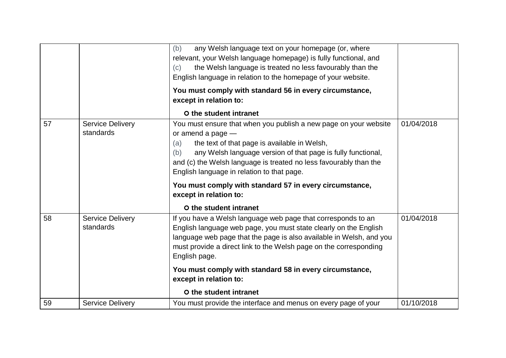|    |                                      | any Welsh language text on your homepage (or, where<br>(b)<br>relevant, your Welsh language homepage) is fully functional, and<br>the Welsh language is treated no less favourably than the<br>(c)<br>English language in relation to the homepage of your website.<br>You must comply with standard 56 in every circumstance,<br>except in relation to:                                                                      |            |
|----|--------------------------------------|-------------------------------------------------------------------------------------------------------------------------------------------------------------------------------------------------------------------------------------------------------------------------------------------------------------------------------------------------------------------------------------------------------------------------------|------------|
|    |                                      | O the student intranet                                                                                                                                                                                                                                                                                                                                                                                                        |            |
| 57 | <b>Service Delivery</b><br>standards | You must ensure that when you publish a new page on your website<br>or amend a page $-$<br>the text of that page is available in Welsh,<br>(a)<br>any Welsh language version of that page is fully functional,<br>(b)<br>and (c) the Welsh language is treated no less favourably than the<br>English language in relation to that page.<br>You must comply with standard 57 in every circumstance,<br>except in relation to: | 01/04/2018 |
|    |                                      | O the student intranet                                                                                                                                                                                                                                                                                                                                                                                                        |            |
| 58 | <b>Service Delivery</b><br>standards | If you have a Welsh language web page that corresponds to an<br>English language web page, you must state clearly on the English<br>language web page that the page is also available in Welsh, and you<br>must provide a direct link to the Welsh page on the corresponding<br>English page.                                                                                                                                 | 01/04/2018 |
|    |                                      | You must comply with standard 58 in every circumstance,<br>except in relation to:                                                                                                                                                                                                                                                                                                                                             |            |
|    |                                      | O the student intranet                                                                                                                                                                                                                                                                                                                                                                                                        |            |
| 59 | <b>Service Delivery</b>              | You must provide the interface and menus on every page of your                                                                                                                                                                                                                                                                                                                                                                | 01/10/2018 |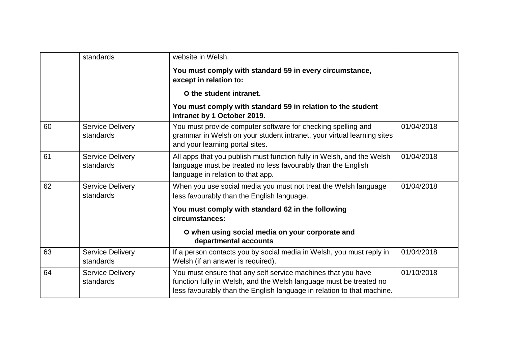|    | standards                            | website in Welsh.                                                                                                                                                                                            |            |
|----|--------------------------------------|--------------------------------------------------------------------------------------------------------------------------------------------------------------------------------------------------------------|------------|
|    |                                      | You must comply with standard 59 in every circumstance,<br>except in relation to:                                                                                                                            |            |
|    |                                      | O the student intranet.                                                                                                                                                                                      |            |
|    |                                      | You must comply with standard 59 in relation to the student<br>intranet by 1 October 2019.                                                                                                                   |            |
| 60 | <b>Service Delivery</b><br>standards | You must provide computer software for checking spelling and<br>grammar in Welsh on your student intranet, your virtual learning sites<br>and your learning portal sites.                                    | 01/04/2018 |
| 61 | <b>Service Delivery</b><br>standards | All apps that you publish must function fully in Welsh, and the Welsh<br>language must be treated no less favourably than the English<br>language in relation to that app.                                   | 01/04/2018 |
| 62 | <b>Service Delivery</b><br>standards | When you use social media you must not treat the Welsh language<br>less favourably than the English language.                                                                                                | 01/04/2018 |
|    |                                      | You must comply with standard 62 in the following<br>circumstances:                                                                                                                                          |            |
|    |                                      | O when using social media on your corporate and<br>departmental accounts                                                                                                                                     |            |
| 63 | <b>Service Delivery</b><br>standards | If a person contacts you by social media in Welsh, you must reply in<br>Welsh (if an answer is required).                                                                                                    | 01/04/2018 |
| 64 | <b>Service Delivery</b><br>standards | You must ensure that any self service machines that you have<br>function fully in Welsh, and the Welsh language must be treated no<br>less favourably than the English language in relation to that machine. | 01/10/2018 |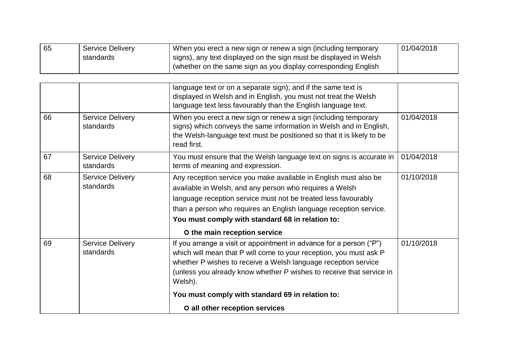| 65 | <b>Service Delivery</b> | When you erect a new sign or renew a sign (including temporary    | 01/04/2018 |
|----|-------------------------|-------------------------------------------------------------------|------------|
|    | standards               | signs), any text displayed on the sign must be displayed in Welsh |            |
|    |                         | (whether on the same sign as you display corresponding English    |            |

|    |                                      | language text or on a separate sign); and if the same text is<br>displayed in Welsh and in English, you must not treat the Welsh<br>language text less favourably than the English language text.                                                                                                                                                      |            |
|----|--------------------------------------|--------------------------------------------------------------------------------------------------------------------------------------------------------------------------------------------------------------------------------------------------------------------------------------------------------------------------------------------------------|------------|
| 66 | <b>Service Delivery</b><br>standards | When you erect a new sign or renew a sign (including temporary<br>signs) which conveys the same information in Welsh and in English,<br>the Welsh-language text must be positioned so that it is likely to be<br>read first.                                                                                                                           | 01/04/2018 |
| 67 | <b>Service Delivery</b><br>standards | You must ensure that the Welsh language text on signs is accurate in<br>terms of meaning and expression.                                                                                                                                                                                                                                               | 01/04/2018 |
| 68 | <b>Service Delivery</b><br>standards | Any reception service you make available in English must also be<br>available in Welsh, and any person who requires a Welsh<br>language reception service must not be treated less favourably<br>than a person who requires an English language reception service.<br>You must comply with standard 68 in relation to:<br>O the main reception service | 01/10/2018 |
| 69 | <b>Service Delivery</b><br>standards | If you arrange a visit or appointment in advance for a person ("P")<br>which will mean that P will come to your reception, you must ask P<br>whether P wishes to receive a Welsh language reception service<br>(unless you already know whether P wishes to receive that service in<br>Welsh).                                                         | 01/10/2018 |
|    |                                      | You must comply with standard 69 in relation to:                                                                                                                                                                                                                                                                                                       |            |
|    |                                      | O all other reception services                                                                                                                                                                                                                                                                                                                         |            |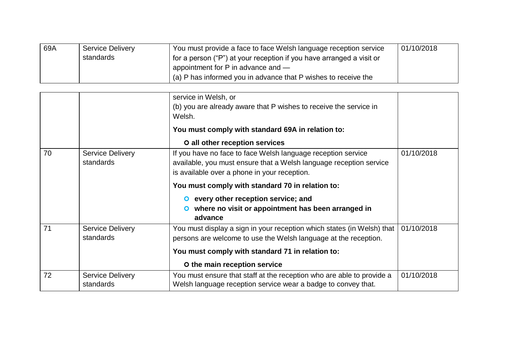| 69A | <b>Service Delivery</b> | You must provide a face to face Welsh language reception service       | 01/10/2018 |
|-----|-------------------------|------------------------------------------------------------------------|------------|
|     | standards               | I for a person ("P") at your reception if you have arranged a visit or |            |
|     |                         | appointment for $P$ in advance and $-$                                 |            |
|     |                         | (a) P has informed you in advance that P wishes to receive the         |            |

|    |                                      | service in Welsh, or<br>(b) you are already aware that P wishes to receive the service in<br>Welsh.<br>You must comply with standard 69A in relation to:<br>O all other reception services                                                                                                                                                    |            |
|----|--------------------------------------|-----------------------------------------------------------------------------------------------------------------------------------------------------------------------------------------------------------------------------------------------------------------------------------------------------------------------------------------------|------------|
| 70 | <b>Service Delivery</b><br>standards | If you have no face to face Welsh language reception service<br>available, you must ensure that a Welsh language reception service<br>is available over a phone in your reception.<br>You must comply with standard 70 in relation to:<br>every other reception service; and<br>where no visit or appointment has been arranged in<br>advance | 01/10/2018 |
| 71 | <b>Service Delivery</b><br>standards | You must display a sign in your reception which states (in Welsh) that<br>persons are welcome to use the Welsh language at the reception.<br>You must comply with standard 71 in relation to:<br>O the main reception service                                                                                                                 | 01/10/2018 |
| 72 | <b>Service Delivery</b><br>standards | You must ensure that staff at the reception who are able to provide a<br>Welsh language reception service wear a badge to convey that.                                                                                                                                                                                                        | 01/10/2018 |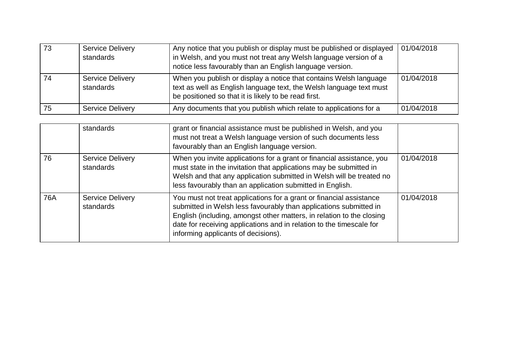| 73 | <b>Service Delivery</b><br>standards | Any notice that you publish or display must be published or displayed<br>in Welsh, and you must not treat any Welsh language version of a<br>notice less favourably than an English language version. | 01/04/2018 |
|----|--------------------------------------|-------------------------------------------------------------------------------------------------------------------------------------------------------------------------------------------------------|------------|
| 74 | <b>Service Delivery</b><br>standards | When you publish or display a notice that contains Welsh language<br>text as well as English language text, the Welsh language text must<br>be positioned so that it is likely to be read first.      | 01/04/2018 |
| 75 | <b>Service Delivery</b>              | Any documents that you publish which relate to applications for a                                                                                                                                     | 01/04/2018 |

|     | standards                            | grant or financial assistance must be published in Welsh, and you<br>must not treat a Welsh language version of such documents less<br>favourably than an English language version.                                                                                                                                              |            |
|-----|--------------------------------------|----------------------------------------------------------------------------------------------------------------------------------------------------------------------------------------------------------------------------------------------------------------------------------------------------------------------------------|------------|
| 76  | <b>Service Delivery</b><br>standards | When you invite applications for a grant or financial assistance, you<br>must state in the invitation that applications may be submitted in<br>Welsh and that any application submitted in Welsh will be treated no<br>less favourably than an application submitted in English.                                                 | 01/04/2018 |
| 76A | <b>Service Delivery</b><br>standards | You must not treat applications for a grant or financial assistance<br>submitted in Welsh less favourably than applications submitted in<br>English (including, amongst other matters, in relation to the closing<br>date for receiving applications and in relation to the timescale for<br>informing applicants of decisions). | 01/04/2018 |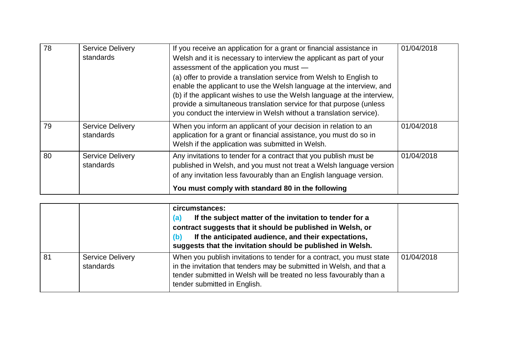| 78 | <b>Service Delivery</b><br>standards | If you receive an application for a grant or financial assistance in<br>Welsh and it is necessary to interview the applicant as part of your<br>assessment of the application you must -<br>(a) offer to provide a translation service from Welsh to English to<br>enable the applicant to use the Welsh language at the interview, and<br>(b) if the applicant wishes to use the Welsh language at the interview,<br>provide a simultaneous translation service for that purpose (unless<br>you conduct the interview in Welsh without a translation service). | 01/04/2018 |
|----|--------------------------------------|-----------------------------------------------------------------------------------------------------------------------------------------------------------------------------------------------------------------------------------------------------------------------------------------------------------------------------------------------------------------------------------------------------------------------------------------------------------------------------------------------------------------------------------------------------------------|------------|
| 79 | <b>Service Delivery</b><br>standards | When you inform an applicant of your decision in relation to an<br>application for a grant or financial assistance, you must do so in<br>Welsh if the application was submitted in Welsh.                                                                                                                                                                                                                                                                                                                                                                       | 01/04/2018 |
| 80 | <b>Service Delivery</b><br>standards | Any invitations to tender for a contract that you publish must be<br>published in Welsh, and you must not treat a Welsh language version<br>of any invitation less favourably than an English language version.                                                                                                                                                                                                                                                                                                                                                 | 01/04/2018 |
|    |                                      | You must comply with standard 80 in the following                                                                                                                                                                                                                                                                                                                                                                                                                                                                                                               |            |

|    |                                      | circumstances:<br>If the subject matter of the invitation to tender for a<br>(a)<br>contract suggests that it should be published in Welsh, or<br>If the anticipated audience, and their expectations,<br>(b)<br>suggests that the invitation should be published in Welsh. |            |
|----|--------------------------------------|-----------------------------------------------------------------------------------------------------------------------------------------------------------------------------------------------------------------------------------------------------------------------------|------------|
| 81 | <b>Service Delivery</b><br>standards | When you publish invitations to tender for a contract, you must state<br>in the invitation that tenders may be submitted in Welsh, and that a<br>tender submitted in Welsh will be treated no less favourably than a<br>tender submitted in English.                        | 01/04/2018 |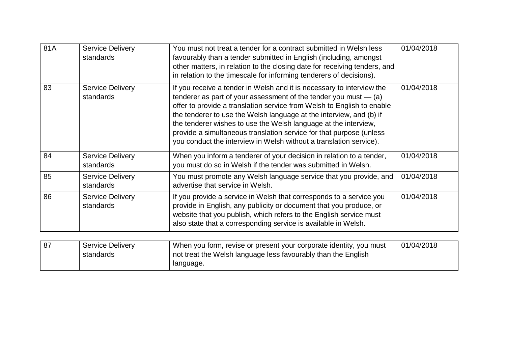| 81A | <b>Service Delivery</b><br>standards | You must not treat a tender for a contract submitted in Welsh less<br>favourably than a tender submitted in English (including, amongst<br>other matters, in relation to the closing date for receiving tenders, and<br>in relation to the timescale for informing tenderers of decisions).                                                                                                                                                                                                                  | 01/04/2018 |
|-----|--------------------------------------|--------------------------------------------------------------------------------------------------------------------------------------------------------------------------------------------------------------------------------------------------------------------------------------------------------------------------------------------------------------------------------------------------------------------------------------------------------------------------------------------------------------|------------|
| 83  | <b>Service Delivery</b><br>standards | If you receive a tender in Welsh and it is necessary to interview the<br>tenderer as part of your assessment of the tender you must $-$ (a)<br>offer to provide a translation service from Welsh to English to enable<br>the tenderer to use the Welsh language at the interview, and (b) if<br>the tenderer wishes to use the Welsh language at the interview,<br>provide a simultaneous translation service for that purpose (unless<br>you conduct the interview in Welsh without a translation service). | 01/04/2018 |
| 84  | <b>Service Delivery</b><br>standards | When you inform a tenderer of your decision in relation to a tender,<br>you must do so in Welsh if the tender was submitted in Welsh.                                                                                                                                                                                                                                                                                                                                                                        | 01/04/2018 |
| 85  | <b>Service Delivery</b><br>standards | You must promote any Welsh language service that you provide, and<br>advertise that service in Welsh.                                                                                                                                                                                                                                                                                                                                                                                                        | 01/04/2018 |
| 86  | <b>Service Delivery</b><br>standards | If you provide a service in Welsh that corresponds to a service you<br>provide in English, any publicity or document that you produce, or<br>website that you publish, which refers to the English service must<br>also state that a corresponding service is available in Welsh.                                                                                                                                                                                                                            | 01/04/2018 |
| 87  | <b>Service Delivery</b><br>standards | When you form, revise or present your corporate identity, you must<br>not treat the Welsh language less favourably than the English<br>language.                                                                                                                                                                                                                                                                                                                                                             | 01/04/2018 |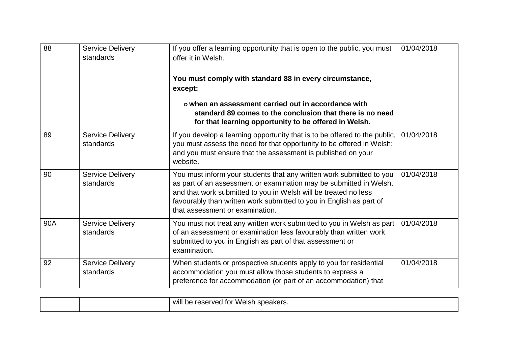| 88  | <b>Service Delivery</b><br>standards | If you offer a learning opportunity that is open to the public, you must<br>offer it in Welsh.<br>You must comply with standard 88 in every circumstance,<br>except:<br>o when an assessment carried out in accordance with<br>standard 89 comes to the conclusion that there is no need<br>for that learning opportunity to be offered in Welsh. | 01/04/2018 |
|-----|--------------------------------------|---------------------------------------------------------------------------------------------------------------------------------------------------------------------------------------------------------------------------------------------------------------------------------------------------------------------------------------------------|------------|
| 89  | <b>Service Delivery</b><br>standards | If you develop a learning opportunity that is to be offered to the public,<br>you must assess the need for that opportunity to be offered in Welsh;<br>and you must ensure that the assessment is published on your<br>website.                                                                                                                   | 01/04/2018 |
| 90  | <b>Service Delivery</b><br>standards | You must inform your students that any written work submitted to you<br>as part of an assessment or examination may be submitted in Welsh,<br>and that work submitted to you in Welsh will be treated no less<br>favourably than written work submitted to you in English as part of<br>that assessment or examination.                           | 01/04/2018 |
| 90A | <b>Service Delivery</b><br>standards | You must not treat any written work submitted to you in Welsh as part<br>of an assessment or examination less favourably than written work<br>submitted to you in English as part of that assessment or<br>examination.                                                                                                                           | 01/04/2018 |
| 92  | <b>Service Delivery</b><br>standards | When students or prospective students apply to you for residential<br>accommodation you must allow those students to express a<br>preference for accommodation (or part of an accommodation) that                                                                                                                                                 | 01/04/2018 |

|  | <br>ereserved for Welsh speakers.<br>WIll<br>be |  |
|--|-------------------------------------------------|--|
|  |                                                 |  |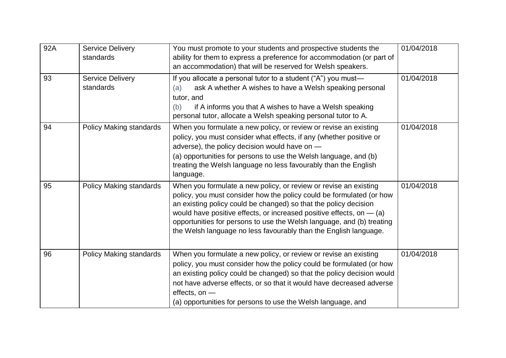| 92A | <b>Service Delivery</b><br>standards | You must promote to your students and prospective students the<br>ability for them to express a preference for accommodation (or part of<br>an accommodation) that will be reserved for Welsh speakers.                                                                                                                                                                                                                             | 01/04/2018 |
|-----|--------------------------------------|-------------------------------------------------------------------------------------------------------------------------------------------------------------------------------------------------------------------------------------------------------------------------------------------------------------------------------------------------------------------------------------------------------------------------------------|------------|
| 93  | Service Delivery<br>standards        | If you allocate a personal tutor to a student ("A") you must-<br>ask A whether A wishes to have a Welsh speaking personal<br>(a)<br>tutor, and<br>if A informs you that A wishes to have a Welsh speaking<br>(b)<br>personal tutor, allocate a Welsh speaking personal tutor to A.                                                                                                                                                  | 01/04/2018 |
| 94  | Policy Making standards              | When you formulate a new policy, or review or revise an existing<br>policy, you must consider what effects, if any (whether positive or<br>adverse), the policy decision would have on -<br>(a) opportunities for persons to use the Welsh language, and (b)<br>treating the Welsh language no less favourably than the English<br>language.                                                                                        | 01/04/2018 |
| 95  | Policy Making standards              | When you formulate a new policy, or review or revise an existing<br>policy, you must consider how the policy could be formulated (or how<br>an existing policy could be changed) so that the policy decision<br>would have positive effects, or increased positive effects, on $-$ (a)<br>opportunities for persons to use the Welsh language, and (b) treating<br>the Welsh language no less favourably than the English language. | 01/04/2018 |
| 96  | Policy Making standards              | When you formulate a new policy, or review or revise an existing<br>policy, you must consider how the policy could be formulated (or how<br>an existing policy could be changed) so that the policy decision would<br>not have adverse effects, or so that it would have decreased adverse<br>effects, on $-$<br>(a) opportunities for persons to use the Welsh language, and                                                       | 01/04/2018 |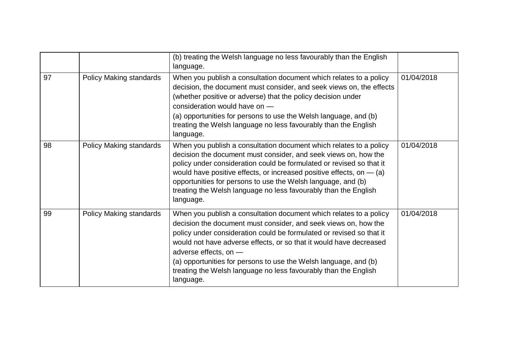|    |                         | (b) treating the Welsh language no less favourably than the English<br>language.                                                                                                                                                                                                                                                                                                                                                                                 |            |
|----|-------------------------|------------------------------------------------------------------------------------------------------------------------------------------------------------------------------------------------------------------------------------------------------------------------------------------------------------------------------------------------------------------------------------------------------------------------------------------------------------------|------------|
| 97 | Policy Making standards | When you publish a consultation document which relates to a policy<br>decision, the document must consider, and seek views on, the effects<br>(whether positive or adverse) that the policy decision under<br>consideration would have on -<br>(a) opportunities for persons to use the Welsh language, and (b)<br>treating the Welsh language no less favourably than the English                                                                               | 01/04/2018 |
|    |                         | language.                                                                                                                                                                                                                                                                                                                                                                                                                                                        |            |
| 98 | Policy Making standards | When you publish a consultation document which relates to a policy<br>decision the document must consider, and seek views on, how the<br>policy under consideration could be formulated or revised so that it<br>would have positive effects, or increased positive effects, on $-$ (a)<br>opportunities for persons to use the Welsh language, and (b)<br>treating the Welsh language no less favourably than the English<br>language.                          | 01/04/2018 |
| 99 | Policy Making standards | When you publish a consultation document which relates to a policy<br>decision the document must consider, and seek views on, how the<br>policy under consideration could be formulated or revised so that it<br>would not have adverse effects, or so that it would have decreased<br>adverse effects, on -<br>(a) opportunities for persons to use the Welsh language, and (b)<br>treating the Welsh language no less favourably than the English<br>language. | 01/04/2018 |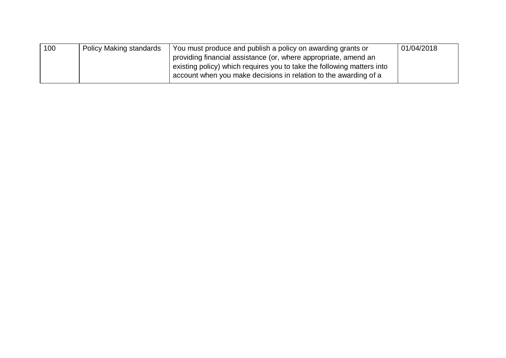| 100 | <b>Policy Making standards</b> | You must produce and publish a policy on awarding grants or            | 01/04/2018 |
|-----|--------------------------------|------------------------------------------------------------------------|------------|
|     |                                | providing financial assistance (or, where appropriate, amend an        |            |
|     |                                | existing policy) which requires you to take the following matters into |            |
|     |                                | account when you make decisions in relation to the awarding of a       |            |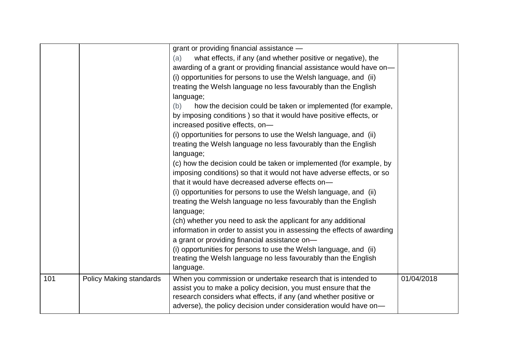|     |                         | grant or providing financial assistance -<br>what effects, if any (and whether positive or negative), the<br>(a)<br>awarding of a grant or providing financial assistance would have on-<br>(i) opportunities for persons to use the Welsh language, and (ii)<br>treating the Welsh language no less favourably than the English<br>language;<br>how the decision could be taken or implemented (for example,<br>(b)<br>by imposing conditions) so that it would have positive effects, or<br>increased positive effects, on-<br>(i) opportunities for persons to use the Welsh language, and (ii)<br>treating the Welsh language no less favourably than the English<br>language;<br>(c) how the decision could be taken or implemented (for example, by<br>imposing conditions) so that it would not have adverse effects, or so<br>that it would have decreased adverse effects on-<br>(i) opportunities for persons to use the Welsh language, and (ii)<br>treating the Welsh language no less favourably than the English |            |
|-----|-------------------------|--------------------------------------------------------------------------------------------------------------------------------------------------------------------------------------------------------------------------------------------------------------------------------------------------------------------------------------------------------------------------------------------------------------------------------------------------------------------------------------------------------------------------------------------------------------------------------------------------------------------------------------------------------------------------------------------------------------------------------------------------------------------------------------------------------------------------------------------------------------------------------------------------------------------------------------------------------------------------------------------------------------------------------|------------|
|     |                         | language;<br>(ch) whether you need to ask the applicant for any additional<br>information in order to assist you in assessing the effects of awarding<br>a grant or providing financial assistance on-<br>(i) opportunities for persons to use the Welsh language, and (ii)<br>treating the Welsh language no less favourably than the English<br>language.                                                                                                                                                                                                                                                                                                                                                                                                                                                                                                                                                                                                                                                                    |            |
| 101 | Policy Making standards | When you commission or undertake research that is intended to<br>assist you to make a policy decision, you must ensure that the<br>research considers what effects, if any (and whether positive or<br>adverse), the policy decision under consideration would have on-                                                                                                                                                                                                                                                                                                                                                                                                                                                                                                                                                                                                                                                                                                                                                        | 01/04/2018 |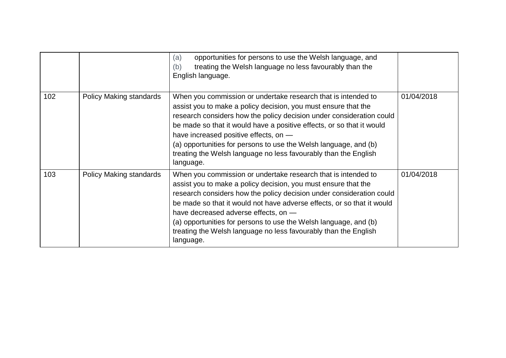|     |                                | opportunities for persons to use the Welsh language, and<br>(a)<br>treating the Welsh language no less favourably than the<br>(b)<br>English language.                                                                                                                                                                                                                                                                                                                        |            |
|-----|--------------------------------|-------------------------------------------------------------------------------------------------------------------------------------------------------------------------------------------------------------------------------------------------------------------------------------------------------------------------------------------------------------------------------------------------------------------------------------------------------------------------------|------------|
| 102 | <b>Policy Making standards</b> | When you commission or undertake research that is intended to<br>assist you to make a policy decision, you must ensure that the<br>research considers how the policy decision under consideration could<br>be made so that it would have a positive effects, or so that it would<br>have increased positive effects, on -<br>(a) opportunities for persons to use the Welsh language, and (b)<br>treating the Welsh language no less favourably than the English<br>language. | 01/04/2018 |
| 103 | Policy Making standards        | When you commission or undertake research that is intended to<br>assist you to make a policy decision, you must ensure that the<br>research considers how the policy decision under consideration could<br>be made so that it would not have adverse effects, or so that it would<br>have decreased adverse effects, on -<br>(a) opportunities for persons to use the Welsh language, and (b)<br>treating the Welsh language no less favourably than the English<br>language. | 01/04/2018 |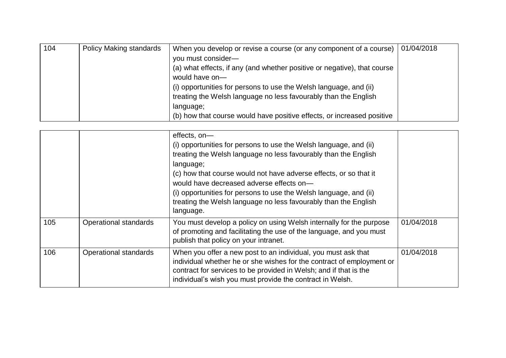| 104 | <b>Policy Making standards</b> | When you develop or revise a course (or any component of a course)       | 01/04/2018 |
|-----|--------------------------------|--------------------------------------------------------------------------|------------|
|     |                                | you must consider-                                                       |            |
|     |                                | (a) what effects, if any (and whether positive or negative), that course |            |
|     |                                | would have on-                                                           |            |
|     |                                | (i) opportunities for persons to use the Welsh language, and (ii)        |            |
|     |                                | treating the Welsh language no less favourably than the English          |            |
|     |                                | language;                                                                |            |
|     |                                | (b) how that course would have positive effects, or increased positive   |            |

|     |                       | effects, on-<br>(i) opportunities for persons to use the Welsh language, and (ii)<br>treating the Welsh language no less favourably than the English<br>language;<br>(c) how that course would not have adverse effects, or so that it<br>would have decreased adverse effects on-<br>(i) opportunities for persons to use the Welsh language, and (ii)<br>treating the Welsh language no less favourably than the English<br>language. |            |
|-----|-----------------------|-----------------------------------------------------------------------------------------------------------------------------------------------------------------------------------------------------------------------------------------------------------------------------------------------------------------------------------------------------------------------------------------------------------------------------------------|------------|
| 105 | Operational standards | You must develop a policy on using Welsh internally for the purpose<br>of promoting and facilitating the use of the language, and you must<br>publish that policy on your intranet.                                                                                                                                                                                                                                                     | 01/04/2018 |
| 106 | Operational standards | When you offer a new post to an individual, you must ask that<br>individual whether he or she wishes for the contract of employment or<br>contract for services to be provided in Welsh; and if that is the<br>individual's wish you must provide the contract in Welsh.                                                                                                                                                                | 01/04/2018 |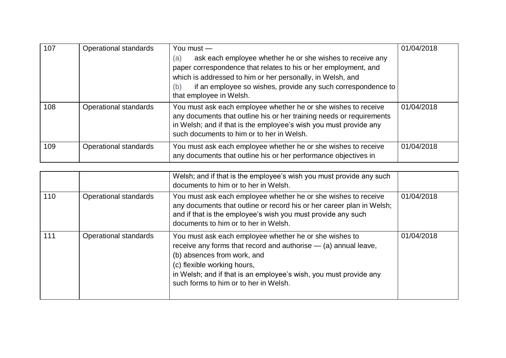| 107 | Operational standards | You must $-$                                                                                                                                                                                                                                                                                        | 01/04/2018 |
|-----|-----------------------|-----------------------------------------------------------------------------------------------------------------------------------------------------------------------------------------------------------------------------------------------------------------------------------------------------|------------|
|     |                       | ask each employee whether he or she wishes to receive any<br>(a)<br>paper correspondence that relates to his or her employment, and<br>which is addressed to him or her personally, in Welsh, and<br>if an employee so wishes, provide any such correspondence to<br>(b)<br>that employee in Welsh. |            |
| 108 | Operational standards | You must ask each employee whether he or she wishes to receive<br>any documents that outline his or her training needs or requirements<br>in Welsh; and if that is the employee's wish you must provide any<br>such documents to him or to her in Welsh.                                            | 01/04/2018 |
| 109 | Operational standards | You must ask each employee whether he or she wishes to receive<br>any documents that outline his or her performance objectives in                                                                                                                                                                   | 01/04/2018 |

|     |                       | Welsh; and if that is the employee's wish you must provide any such<br>documents to him or to her in Welsh.                                                                                                                                                                                             |            |
|-----|-----------------------|---------------------------------------------------------------------------------------------------------------------------------------------------------------------------------------------------------------------------------------------------------------------------------------------------------|------------|
| 110 | Operational standards | You must ask each employee whether he or she wishes to receive<br>any documents that outline or record his or her career plan in Welsh;<br>and if that is the employee's wish you must provide any such<br>documents to him or to her in Welsh.                                                         | 01/04/2018 |
| 111 | Operational standards | You must ask each employee whether he or she wishes to<br>receive any forms that record and authorise $-$ (a) annual leave,<br>(b) absences from work, and<br>(c) flexible working hours,<br>in Welsh; and if that is an employee's wish, you must provide any<br>such forms to him or to her in Welsh. | 01/04/2018 |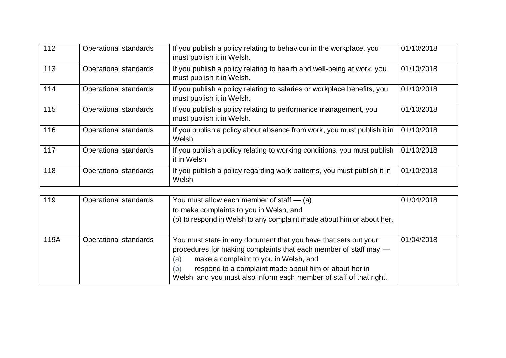| 112 | Operational standards | If you publish a policy relating to behaviour in the workplace, you<br>must publish it in Welsh.     | 01/10/2018 |
|-----|-----------------------|------------------------------------------------------------------------------------------------------|------------|
| 113 | Operational standards | If you publish a policy relating to health and well-being at work, you<br>must publish it in Welsh.  | 01/10/2018 |
| 114 | Operational standards | If you publish a policy relating to salaries or workplace benefits, you<br>must publish it in Welsh. | 01/10/2018 |
| 115 | Operational standards | If you publish a policy relating to performance management, you<br>must publish it in Welsh.         | 01/10/2018 |
| 116 | Operational standards | If you publish a policy about absence from work, you must publish it in<br>Welsh.                    | 01/10/2018 |
| 117 | Operational standards | If you publish a policy relating to working conditions, you must publish<br>it in Welsh.             | 01/10/2018 |
| 118 | Operational standards | If you publish a policy regarding work patterns, you must publish it in<br>Welsh.                    | 01/10/2018 |

| 119  | Operational standards | You must allow each member of staff $-$ (a)<br>to make complaints to you in Welsh, and<br>(b) to respond in Welsh to any complaint made about him or about her.                                                                                                                                                            | 01/04/2018 |
|------|-----------------------|----------------------------------------------------------------------------------------------------------------------------------------------------------------------------------------------------------------------------------------------------------------------------------------------------------------------------|------------|
| 119A | Operational standards | You must state in any document that you have that sets out your<br>procedures for making complaints that each member of staff may -<br>make a complaint to you in Welsh, and<br>(a)<br>respond to a complaint made about him or about her in<br>(b)<br>Welsh; and you must also inform each member of staff of that right. | 01/04/2018 |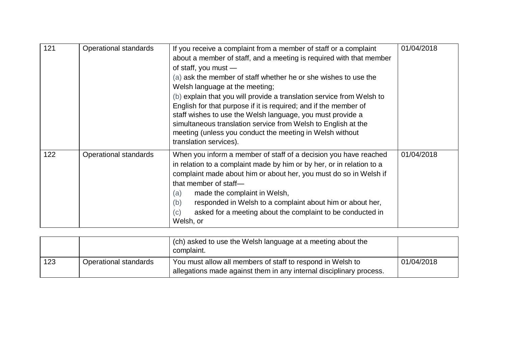| 121 | Operational standards | If you receive a complaint from a member of staff or a complaint<br>about a member of staff, and a meeting is required with that member<br>of staff, you must $-$<br>(a) ask the member of staff whether he or she wishes to use the<br>Welsh language at the meeting;<br>(b) explain that you will provide a translation service from Welsh to<br>English for that purpose if it is required; and if the member of<br>staff wishes to use the Welsh language, you must provide a<br>simultaneous translation service from Welsh to English at the<br>meeting (unless you conduct the meeting in Welsh without<br>translation services). | 01/04/2018 |
|-----|-----------------------|------------------------------------------------------------------------------------------------------------------------------------------------------------------------------------------------------------------------------------------------------------------------------------------------------------------------------------------------------------------------------------------------------------------------------------------------------------------------------------------------------------------------------------------------------------------------------------------------------------------------------------------|------------|
| 122 | Operational standards | When you inform a member of staff of a decision you have reached<br>in relation to a complaint made by him or by her, or in relation to a<br>complaint made about him or about her, you must do so in Welsh if<br>that member of staff-<br>made the complaint in Welsh,<br>(a)<br>responded in Welsh to a complaint about him or about her,<br>(b)<br>asked for a meeting about the complaint to be conducted in<br>(c)<br>Welsh, or                                                                                                                                                                                                     | 01/04/2018 |

|     |                       | (ch) asked to use the Welsh language at a meeting about the<br>complaint.                                                         |            |
|-----|-----------------------|-----------------------------------------------------------------------------------------------------------------------------------|------------|
| 123 | Operational standards | You must allow all members of staff to respond in Welsh to<br>allegations made against them in any internal disciplinary process. | 01/04/2018 |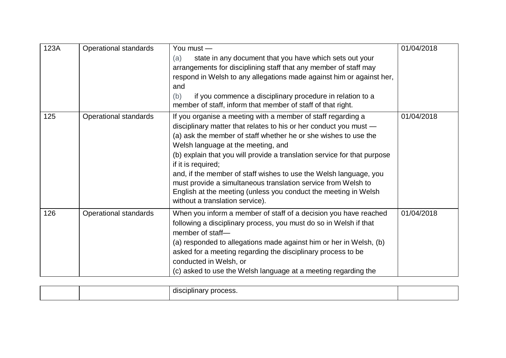| 123A | Operational standards        | You must —<br>state in any document that you have which sets out your<br>(a)<br>arrangements for disciplining staff that any member of staff may<br>respond in Welsh to any allegations made against him or against her,<br>and<br>if you commence a disciplinary procedure in relation to a<br>(b)<br>member of staff, inform that member of staff of that right.                                                                                                                                                                                                                       | 01/04/2018 |
|------|------------------------------|------------------------------------------------------------------------------------------------------------------------------------------------------------------------------------------------------------------------------------------------------------------------------------------------------------------------------------------------------------------------------------------------------------------------------------------------------------------------------------------------------------------------------------------------------------------------------------------|------------|
| 125  | Operational standards        | If you organise a meeting with a member of staff regarding a<br>disciplinary matter that relates to his or her conduct you must -<br>(a) ask the member of staff whether he or she wishes to use the<br>Welsh language at the meeting, and<br>(b) explain that you will provide a translation service for that purpose<br>if it is required;<br>and, if the member of staff wishes to use the Welsh language, you<br>must provide a simultaneous translation service from Welsh to<br>English at the meeting (unless you conduct the meeting in Welsh<br>without a translation service). | 01/04/2018 |
| 126  | <b>Operational standards</b> | When you inform a member of staff of a decision you have reached<br>following a disciplinary process, you must do so in Welsh if that<br>member of staff-<br>(a) responded to allegations made against him or her in Welsh, (b)<br>asked for a meeting regarding the disciplinary process to be<br>conducted in Welsh, or<br>(c) asked to use the Welsh language at a meeting regarding the                                                                                                                                                                                              | 01/04/2018 |

|  |  | . . |  |
|--|--|-----|--|
|--|--|-----|--|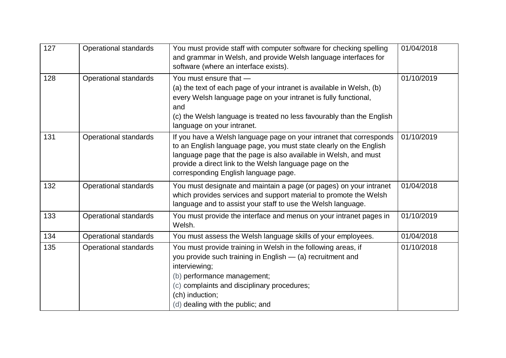| 127 | Operational standards        | You must provide staff with computer software for checking spelling<br>and grammar in Welsh, and provide Welsh language interfaces for<br>software (where an interface exists).                                                                                                                                  | 01/04/2018 |
|-----|------------------------------|------------------------------------------------------------------------------------------------------------------------------------------------------------------------------------------------------------------------------------------------------------------------------------------------------------------|------------|
| 128 | <b>Operational standards</b> | You must ensure that -<br>(a) the text of each page of your intranet is available in Welsh, (b)<br>every Welsh language page on your intranet is fully functional,<br>and<br>(c) the Welsh language is treated no less favourably than the English<br>language on your intranet.                                 | 01/10/2019 |
| 131 | Operational standards        | If you have a Welsh language page on your intranet that corresponds<br>to an English language page, you must state clearly on the English<br>language page that the page is also available in Welsh, and must<br>provide a direct link to the Welsh language page on the<br>corresponding English language page. | 01/10/2019 |
| 132 | <b>Operational standards</b> | You must designate and maintain a page (or pages) on your intranet<br>which provides services and support material to promote the Welsh<br>language and to assist your staff to use the Welsh language.                                                                                                          | 01/04/2018 |
| 133 | <b>Operational standards</b> | You must provide the interface and menus on your intranet pages in<br>Welsh.                                                                                                                                                                                                                                     | 01/10/2019 |
| 134 | <b>Operational standards</b> | You must assess the Welsh language skills of your employees.                                                                                                                                                                                                                                                     | 01/04/2018 |
| 135 | <b>Operational standards</b> | You must provide training in Welsh in the following areas, if<br>you provide such training in English - (a) recruitment and<br>interviewing;<br>(b) performance management;<br>(c) complaints and disciplinary procedures;<br>(ch) induction;<br>(d) dealing with the public; and                                | 01/10/2018 |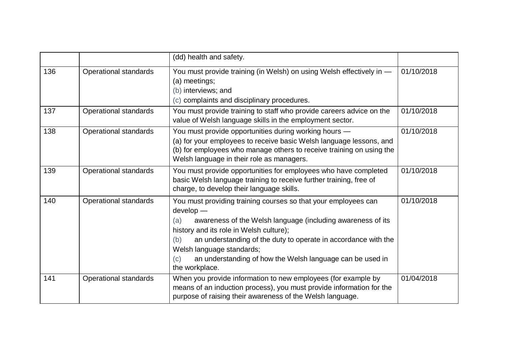|     |                       | (dd) health and safety.                                                                                                                                                                                                                                                                                                                                                                  |            |
|-----|-----------------------|------------------------------------------------------------------------------------------------------------------------------------------------------------------------------------------------------------------------------------------------------------------------------------------------------------------------------------------------------------------------------------------|------------|
| 136 | Operational standards | You must provide training (in Welsh) on using Welsh effectively in -<br>(a) meetings;<br>(b) interviews; and<br>(c) complaints and disciplinary procedures.                                                                                                                                                                                                                              | 01/10/2018 |
| 137 | Operational standards | You must provide training to staff who provide careers advice on the<br>value of Welsh language skills in the employment sector.                                                                                                                                                                                                                                                         | 01/10/2018 |
| 138 | Operational standards | You must provide opportunities during working hours -<br>(a) for your employees to receive basic Welsh language lessons, and<br>(b) for employees who manage others to receive training on using the<br>Welsh language in their role as managers.                                                                                                                                        | 01/10/2018 |
| 139 | Operational standards | You must provide opportunities for employees who have completed<br>basic Welsh language training to receive further training, free of<br>charge, to develop their language skills.                                                                                                                                                                                                       | 01/10/2018 |
| 140 | Operational standards | You must providing training courses so that your employees can<br>develop -<br>awareness of the Welsh language (including awareness of its<br>(a)<br>history and its role in Welsh culture);<br>an understanding of the duty to operate in accordance with the<br>(b)<br>Welsh language standards;<br>an understanding of how the Welsh language can be used in<br>(c)<br>the workplace. | 01/10/2018 |
| 141 | Operational standards | When you provide information to new employees (for example by<br>means of an induction process), you must provide information for the<br>purpose of raising their awareness of the Welsh language.                                                                                                                                                                                       | 01/04/2018 |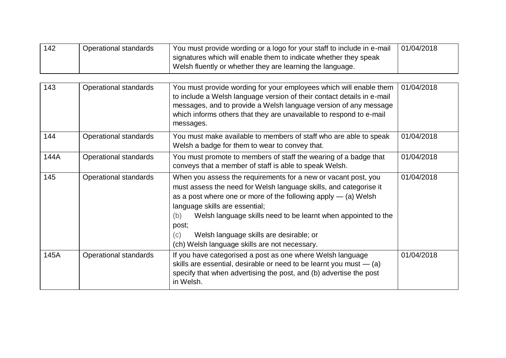| 142 | Operational standards | You must provide wording or a logo for your staff to include in e-mail | 01/04/2018 |
|-----|-----------------------|------------------------------------------------------------------------|------------|
|     |                       | signatures which will enable them to indicate whether they speak       |            |
|     |                       | Welsh fluently or whether they are learning the language.              |            |

| 143  | Operational standards | You must provide wording for your employees which will enable them<br>to include a Welsh language version of their contact details in e-mail<br>messages, and to provide a Welsh language version of any message<br>which informs others that they are unavailable to respond to e-mail<br>messages.                                                                                                                          | 01/04/2018 |
|------|-----------------------|-------------------------------------------------------------------------------------------------------------------------------------------------------------------------------------------------------------------------------------------------------------------------------------------------------------------------------------------------------------------------------------------------------------------------------|------------|
| 144  | Operational standards | You must make available to members of staff who are able to speak<br>Welsh a badge for them to wear to convey that.                                                                                                                                                                                                                                                                                                           | 01/04/2018 |
| 144A | Operational standards | You must promote to members of staff the wearing of a badge that<br>conveys that a member of staff is able to speak Welsh.                                                                                                                                                                                                                                                                                                    | 01/04/2018 |
| 145  | Operational standards | When you assess the requirements for a new or vacant post, you<br>must assess the need for Welsh language skills, and categorise it<br>as a post where one or more of the following apply $-$ (a) Welsh<br>language skills are essential;<br>Welsh language skills need to be learnt when appointed to the<br>(b)<br>post;<br>Welsh language skills are desirable; or<br>(c)<br>(ch) Welsh language skills are not necessary. | 01/04/2018 |
| 145A | Operational standards | If you have categorised a post as one where Welsh language<br>skills are essential, desirable or need to be learnt you must $-$ (a)<br>specify that when advertising the post, and (b) advertise the post<br>in Welsh.                                                                                                                                                                                                        | 01/04/2018 |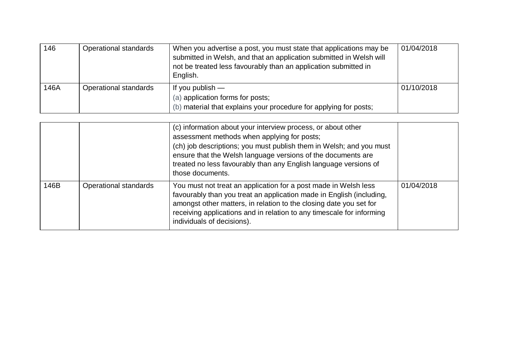| 146  | Operational standards | When you advertise a post, you must state that applications may be<br>submitted in Welsh, and that an application submitted in Welsh will<br>not be treated less favourably than an application submitted in<br>English. | 01/04/2018 |
|------|-----------------------|--------------------------------------------------------------------------------------------------------------------------------------------------------------------------------------------------------------------------|------------|
| 146A | Operational standards | If you publish $-$<br>(a) application forms for posts;<br>(b) material that explains your procedure for applying for posts;                                                                                              | 01/10/2018 |

|      |                       | (c) information about your interview process, or about other<br>assessment methods when applying for posts;<br>(ch) job descriptions; you must publish them in Welsh; and you must<br>ensure that the Welsh language versions of the documents are<br>treated no less favourably than any English language versions of<br>those documents. |            |
|------|-----------------------|--------------------------------------------------------------------------------------------------------------------------------------------------------------------------------------------------------------------------------------------------------------------------------------------------------------------------------------------|------------|
| 146B | Operational standards | You must not treat an application for a post made in Welsh less<br>favourably than you treat an application made in English (including,<br>amongst other matters, in relation to the closing date you set for<br>receiving applications and in relation to any timescale for informing<br>individuals of decisions).                       | 01/04/2018 |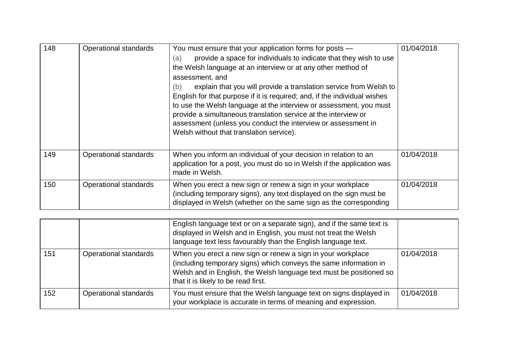| 148 | Operational standards | You must ensure that your application forms for posts -<br>provide a space for individuals to indicate that they wish to use<br>(a)<br>the Welsh language at an interview or at any other method of<br>assessment, and<br>explain that you will provide a translation service from Welsh to<br>(b)<br>English for that purpose if it is required; and, if the individual wishes<br>to use the Welsh language at the interview or assessment, you must<br>provide a simultaneous translation service at the interview or<br>assessment (unless you conduct the interview or assessment in<br>Welsh without that translation service). | 01/04/2018 |
|-----|-----------------------|--------------------------------------------------------------------------------------------------------------------------------------------------------------------------------------------------------------------------------------------------------------------------------------------------------------------------------------------------------------------------------------------------------------------------------------------------------------------------------------------------------------------------------------------------------------------------------------------------------------------------------------|------------|
| 149 | Operational standards | When you inform an individual of your decision in relation to an<br>application for a post, you must do so in Welsh if the application was<br>made in Welsh.                                                                                                                                                                                                                                                                                                                                                                                                                                                                         | 01/04/2018 |
| 150 | Operational standards | When you erect a new sign or renew a sign in your workplace<br>(including temporary signs), any text displayed on the sign must be<br>displayed in Welsh (whether on the same sign as the corresponding                                                                                                                                                                                                                                                                                                                                                                                                                              | 01/04/2018 |

|     |                       | English language text or on a separate sign), and if the same text is<br>displayed in Welsh and in English, you must not treat the Welsh<br>language text less favourably than the English language text.                                      |            |
|-----|-----------------------|------------------------------------------------------------------------------------------------------------------------------------------------------------------------------------------------------------------------------------------------|------------|
| 151 | Operational standards | When you erect a new sign or renew a sign in your workplace<br>(including temporary signs) which conveys the same information in<br>Welsh and in English, the Welsh language text must be positioned so<br>that it is likely to be read first. | 01/04/2018 |
| 152 | Operational standards | You must ensure that the Welsh language text on signs displayed in<br>your workplace is accurate in terms of meaning and expression.                                                                                                           | 01/04/2018 |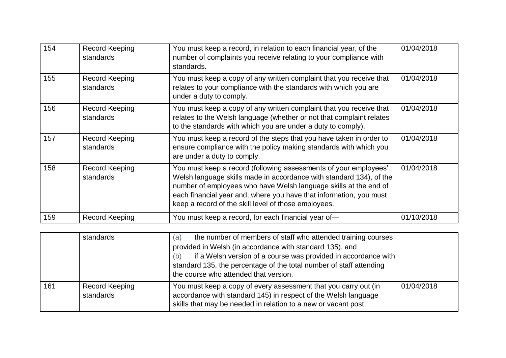| 154 | Record Keeping<br>standards        | You must keep a record, in relation to each financial year, of the<br>number of complaints you receive relating to your compliance with<br>standards.                                                                                                                                                                                     | 01/04/2018 |
|-----|------------------------------------|-------------------------------------------------------------------------------------------------------------------------------------------------------------------------------------------------------------------------------------------------------------------------------------------------------------------------------------------|------------|
| 155 | <b>Record Keeping</b><br>standards | You must keep a copy of any written complaint that you receive that<br>relates to your compliance with the standards with which you are<br>under a duty to comply.                                                                                                                                                                        | 01/04/2018 |
| 156 | Record Keeping<br>standards        | You must keep a copy of any written complaint that you receive that<br>relates to the Welsh language (whether or not that complaint relates<br>to the standards with which you are under a duty to comply).                                                                                                                               | 01/04/2018 |
| 157 | <b>Record Keeping</b><br>standards | You must keep a record of the steps that you have taken in order to<br>ensure compliance with the policy making standards with which you<br>are under a duty to comply.                                                                                                                                                                   | 01/04/2018 |
| 158 | Record Keeping<br>standards        | You must keep a record (following assessments of your employees'<br>Welsh language skills made in accordance with standard 134), of the<br>number of employees who have Welsh language skills at the end of<br>each financial year and, where you have that information, you must<br>keep a record of the skill level of those employees. | 01/04/2018 |
| 159 | Record Keeping                     | You must keep a record, for each financial year of-                                                                                                                                                                                                                                                                                       | 01/10/2018 |

|     | standards                   | the number of members of staff who attended training courses<br>(a)<br>provided in Welsh (in accordance with standard 135), and<br>if a Welsh version of a course was provided in accordance with<br>(b)<br>standard 135, the percentage of the total number of staff attending<br>the course who attended that version. |            |
|-----|-----------------------------|--------------------------------------------------------------------------------------------------------------------------------------------------------------------------------------------------------------------------------------------------------------------------------------------------------------------------|------------|
| 161 | Record Keeping<br>standards | You must keep a copy of every assessment that you carry out (in<br>accordance with standard 145) in respect of the Welsh language<br>skills that may be needed in relation to a new or vacant post.                                                                                                                      | 01/04/2018 |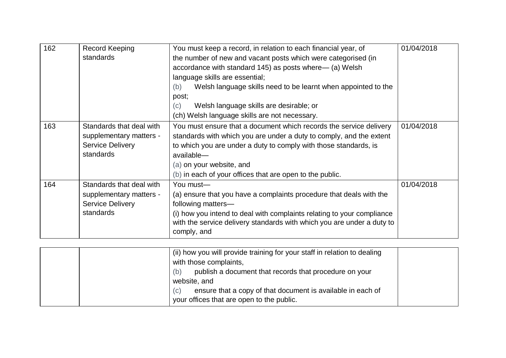| 162 | Record Keeping<br>standards                                                                 | You must keep a record, in relation to each financial year, of<br>the number of new and vacant posts which were categorised (in<br>accordance with standard 145) as posts where— (a) Welsh                                                                                                                          | 01/04/2018 |
|-----|---------------------------------------------------------------------------------------------|---------------------------------------------------------------------------------------------------------------------------------------------------------------------------------------------------------------------------------------------------------------------------------------------------------------------|------------|
|     |                                                                                             | language skills are essential;                                                                                                                                                                                                                                                                                      |            |
|     |                                                                                             | Welsh language skills need to be learnt when appointed to the<br>(b)<br>post;                                                                                                                                                                                                                                       |            |
|     |                                                                                             | Welsh language skills are desirable; or<br>(c)<br>(ch) Welsh language skills are not necessary.                                                                                                                                                                                                                     |            |
| 163 | Standards that deal with<br>supplementary matters -<br><b>Service Delivery</b><br>standards | You must ensure that a document which records the service delivery<br>standards with which you are under a duty to comply, and the extent<br>to which you are under a duty to comply with those standards, is<br>available-<br>(a) on your website, and<br>(b) in each of your offices that are open to the public. | 01/04/2018 |
| 164 | Standards that deal with<br>supplementary matters -<br><b>Service Delivery</b><br>standards | You must-<br>(a) ensure that you have a complaints procedure that deals with the<br>following matters-<br>(i) how you intend to deal with complaints relating to your compliance<br>with the service delivery standards with which you are under a duty to<br>comply, and                                           | 01/04/2018 |

| (ii) how you will provide training for your staff in relation to dealing |  |
|--------------------------------------------------------------------------|--|
| with those complaints,                                                   |  |
| publish a document that records that procedure on your<br>(b)            |  |
| website, and                                                             |  |
| ensure that a copy of that document is available in each of<br>(c)       |  |
| your offices that are open to the public.                                |  |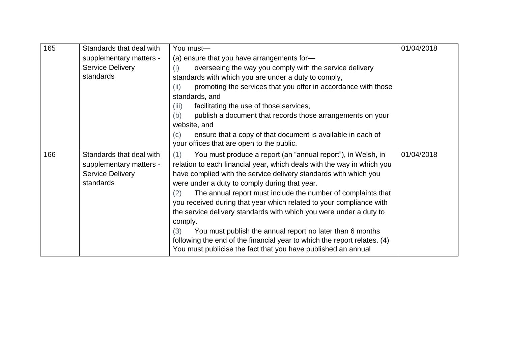| 165 | Standards that deal with | You must-                                                                                                                                 | 01/04/2018 |
|-----|--------------------------|-------------------------------------------------------------------------------------------------------------------------------------------|------------|
|     | supplementary matters -  | (a) ensure that you have arrangements for-                                                                                                |            |
|     | <b>Service Delivery</b>  | overseeing the way you comply with the service delivery<br>(i)                                                                            |            |
|     | standards                | standards with which you are under a duty to comply,                                                                                      |            |
|     |                          | promoting the services that you offer in accordance with those<br>(ii)                                                                    |            |
|     |                          | standards, and                                                                                                                            |            |
|     |                          | facilitating the use of those services,<br>(iii)                                                                                          |            |
|     |                          | publish a document that records those arrangements on your<br>(b)                                                                         |            |
|     |                          | website, and                                                                                                                              |            |
|     |                          | ensure that a copy of that document is available in each of<br>(c)                                                                        |            |
|     |                          | your offices that are open to the public.                                                                                                 |            |
| 166 | Standards that deal with | You must produce a report (an "annual report"), in Welsh, in<br>(1)                                                                       | 01/04/2018 |
|     | supplementary matters -  | relation to each financial year, which deals with the way in which you                                                                    |            |
|     | <b>Service Delivery</b>  | have complied with the service delivery standards with which you                                                                          |            |
|     |                          |                                                                                                                                           |            |
|     | standards                | were under a duty to comply during that year.                                                                                             |            |
|     |                          | The annual report must include the number of complaints that<br>(2)                                                                       |            |
|     |                          | you received during that year which related to your compliance with                                                                       |            |
|     |                          | the service delivery standards with which you were under a duty to                                                                        |            |
|     |                          | comply.                                                                                                                                   |            |
|     |                          | You must publish the annual report no later than 6 months<br>(3)                                                                          |            |
|     |                          | following the end of the financial year to which the report relates. (4)<br>You must publicise the fact that you have published an annual |            |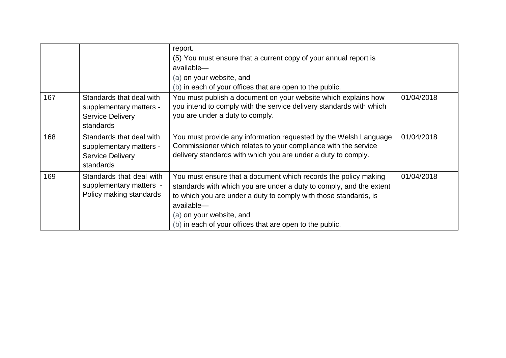|     |                                                                                             | report.<br>(5) You must ensure that a current copy of your annual report is<br>available-<br>(a) on your website, and<br>(b) in each of your offices that are open to the public.                                                                                                                                |            |
|-----|---------------------------------------------------------------------------------------------|------------------------------------------------------------------------------------------------------------------------------------------------------------------------------------------------------------------------------------------------------------------------------------------------------------------|------------|
| 167 | Standards that deal with<br>supplementary matters -<br><b>Service Delivery</b><br>standards | You must publish a document on your website which explains how<br>you intend to comply with the service delivery standards with which<br>you are under a duty to comply.                                                                                                                                         | 01/04/2018 |
| 168 | Standards that deal with<br>supplementary matters -<br><b>Service Delivery</b><br>standards | You must provide any information requested by the Welsh Language<br>Commissioner which relates to your compliance with the service<br>delivery standards with which you are under a duty to comply.                                                                                                              | 01/04/2018 |
| 169 | Standards that deal with<br>supplementary matters -<br>Policy making standards              | You must ensure that a document which records the policy making<br>standards with which you are under a duty to comply, and the extent<br>to which you are under a duty to comply with those standards, is<br>available-<br>(a) on your website, and<br>(b) in each of your offices that are open to the public. | 01/04/2018 |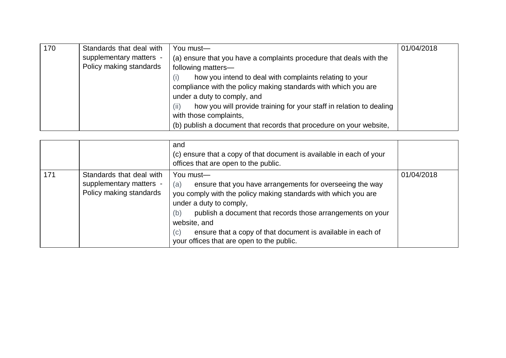| 170 | Standards that deal with | You must-                                                                   | 01/04/2018 |
|-----|--------------------------|-----------------------------------------------------------------------------|------------|
|     | supplementary matters -  | (a) ensure that you have a complaints procedure that deals with the         |            |
|     | Policy making standards  | following matters-                                                          |            |
|     |                          | how you intend to deal with complaints relating to your<br>(i)              |            |
|     |                          | compliance with the policy making standards with which you are              |            |
|     |                          | under a duty to comply, and                                                 |            |
|     |                          | how you will provide training for your staff in relation to dealing<br>(ii) |            |
|     |                          | with those complaints,                                                      |            |
|     |                          | (b) publish a document that records that procedure on your website,         |            |

|     |                                                                                | and<br>(c) ensure that a copy of that document is available in each of your<br>offices that are open to the public.                                                                                                                                                                                                                                                               |            |
|-----|--------------------------------------------------------------------------------|-----------------------------------------------------------------------------------------------------------------------------------------------------------------------------------------------------------------------------------------------------------------------------------------------------------------------------------------------------------------------------------|------------|
| 171 | Standards that deal with<br>supplementary matters -<br>Policy making standards | You must-<br>ensure that you have arrangements for overseeing the way<br>(a)<br>you comply with the policy making standards with which you are<br>under a duty to comply,<br>(b)<br>publish a document that records those arrangements on your<br>website, and<br>ensure that a copy of that document is available in each of<br>(c)<br>your offices that are open to the public. | 01/04/2018 |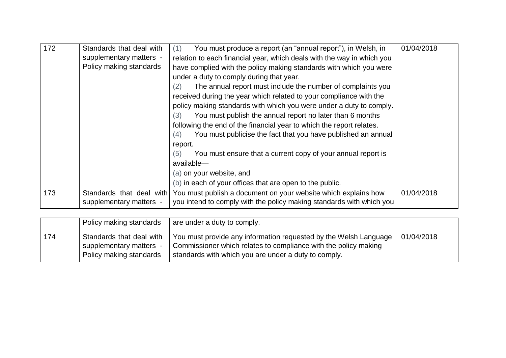| 172 | Standards that deal with<br>supplementary matters -<br>Policy making standards | You must produce a report (an "annual report"), in Welsh, in<br>(1)<br>relation to each financial year, which deals with the way in which you<br>have complied with the policy making standards with which you were<br>under a duty to comply during that year.<br>The annual report must include the number of complaints you<br>(2)<br>received during the year which related to your compliance with the<br>policy making standards with which you were under a duty to comply.<br>You must publish the annual report no later than 6 months<br>(3)<br>following the end of the financial year to which the report relates.<br>You must publicise the fact that you have published an annual<br>(4)<br>report.<br>You must ensure that a current copy of your annual report is<br>(5)<br>available-<br>(a) on your website, and<br>(b) in each of your offices that are open to the public. | 01/04/2018 |
|-----|--------------------------------------------------------------------------------|------------------------------------------------------------------------------------------------------------------------------------------------------------------------------------------------------------------------------------------------------------------------------------------------------------------------------------------------------------------------------------------------------------------------------------------------------------------------------------------------------------------------------------------------------------------------------------------------------------------------------------------------------------------------------------------------------------------------------------------------------------------------------------------------------------------------------------------------------------------------------------------------|------------|
| 173 | Standards that deal with<br>supplementary matters -                            | You must publish a document on your website which explains how<br>you intend to comply with the policy making standards with which you                                                                                                                                                                                                                                                                                                                                                                                                                                                                                                                                                                                                                                                                                                                                                         | 01/04/2018 |

|     | Policy making standards                            | are under a duty to comply.                                                                                             |            |
|-----|----------------------------------------------------|-------------------------------------------------------------------------------------------------------------------------|------------|
| 174 | Standards that deal with                           | You must provide any information requested by the Welsh Language                                                        | 01/04/2018 |
|     | supplementary matters -<br>Policy making standards | Commissioner which relates to compliance with the policy making<br>standards with which you are under a duty to comply. |            |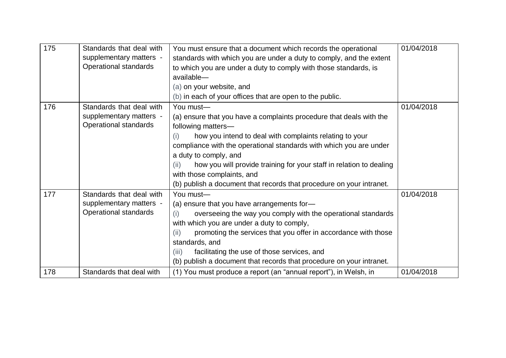| 175 | Standards that deal with | You must ensure that a document which records the operational               | 01/04/2018 |
|-----|--------------------------|-----------------------------------------------------------------------------|------------|
|     | supplementary matters -  | standards with which you are under a duty to comply, and the extent         |            |
|     | Operational standards    | to which you are under a duty to comply with those standards, is            |            |
|     |                          | available-                                                                  |            |
|     |                          | (a) on your website, and                                                    |            |
|     |                          | (b) in each of your offices that are open to the public.                    |            |
| 176 | Standards that deal with | You must-                                                                   | 01/04/2018 |
|     | supplementary matters -  | (a) ensure that you have a complaints procedure that deals with the         |            |
|     | Operational standards    | following matters-                                                          |            |
|     |                          | how you intend to deal with complaints relating to your<br>(i)              |            |
|     |                          | compliance with the operational standards with which you are under          |            |
|     |                          | a duty to comply, and                                                       |            |
|     |                          | how you will provide training for your staff in relation to dealing<br>(ii) |            |
|     |                          | with those complaints, and                                                  |            |
|     |                          | (b) publish a document that records that procedure on your intranet.        |            |
| 177 | Standards that deal with | You must-                                                                   | 01/04/2018 |
|     | supplementary matters -  | (a) ensure that you have arrangements for-                                  |            |
|     | Operational standards    | overseeing the way you comply with the operational standards<br>(i)         |            |
|     |                          | with which you are under a duty to comply,                                  |            |
|     |                          | promoting the services that you offer in accordance with those<br>(ii)      |            |
|     |                          | standards, and                                                              |            |
|     |                          | facilitating the use of those services, and<br>(iii)                        |            |
|     |                          | (b) publish a document that records that procedure on your intranet.        |            |
| 178 | Standards that deal with | (1) You must produce a report (an "annual report"), in Welsh, in            | 01/04/2018 |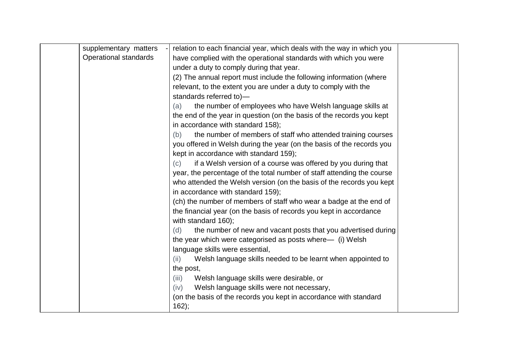| supplementary matters        | relation to each financial year, which deals with the way in which you |  |
|------------------------------|------------------------------------------------------------------------|--|
| <b>Operational standards</b> | have complied with the operational standards with which you were       |  |
|                              | under a duty to comply during that year.                               |  |
|                              | (2) The annual report must include the following information (where    |  |
|                              | relevant, to the extent you are under a duty to comply with the        |  |
|                              | standards referred to)-                                                |  |
|                              | the number of employees who have Welsh language skills at<br>(a)       |  |
|                              | the end of the year in question (on the basis of the records you kept  |  |
|                              | in accordance with standard 158);                                      |  |
|                              | the number of members of staff who attended training courses<br>(b)    |  |
|                              | you offered in Welsh during the year (on the basis of the records you  |  |
|                              | kept in accordance with standard 159);                                 |  |
|                              | if a Welsh version of a course was offered by you during that<br>(c)   |  |
|                              | year, the percentage of the total number of staff attending the course |  |
|                              | who attended the Welsh version (on the basis of the records you kept   |  |
|                              | in accordance with standard 159);                                      |  |
|                              | (ch) the number of members of staff who wear a badge at the end of     |  |
|                              | the financial year (on the basis of records you kept in accordance     |  |
|                              | with standard 160);                                                    |  |
|                              | the number of new and vacant posts that you advertised during<br>(d)   |  |
|                              | the year which were categorised as posts where— (i) Welsh              |  |
|                              | language skills were essential,                                        |  |
|                              | Welsh language skills needed to be learnt when appointed to<br>(ii)    |  |
|                              | the post,                                                              |  |
|                              | Welsh language skills were desirable, or<br>(iii)                      |  |
|                              | Welsh language skills were not necessary,<br>(iv)                      |  |
|                              | (on the basis of the records you kept in accordance with standard      |  |
|                              | 162);                                                                  |  |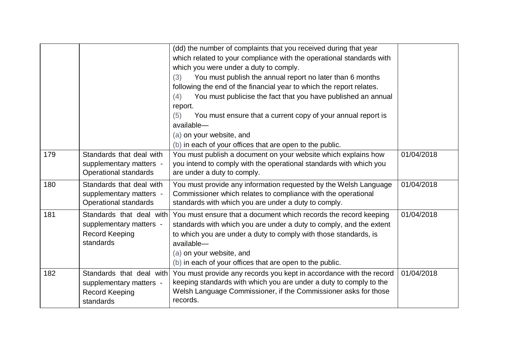|     |                                                                                           | (dd) the number of complaints that you received during that year<br>which related to your compliance with the operational standards with<br>which you were under a duty to comply.<br>You must publish the annual report no later than 6 months<br>(3)<br>following the end of the financial year to which the report relates.<br>You must publicise the fact that you have published an annual<br>(4)<br>report.<br>You must ensure that a current copy of your annual report is<br>(5)<br>available-<br>(a) on your website, and<br>(b) in each of your offices that are open to the public. |            |
|-----|-------------------------------------------------------------------------------------------|------------------------------------------------------------------------------------------------------------------------------------------------------------------------------------------------------------------------------------------------------------------------------------------------------------------------------------------------------------------------------------------------------------------------------------------------------------------------------------------------------------------------------------------------------------------------------------------------|------------|
| 179 | Standards that deal with<br>supplementary matters -<br>Operational standards              | You must publish a document on your website which explains how<br>you intend to comply with the operational standards with which you<br>are under a duty to comply.                                                                                                                                                                                                                                                                                                                                                                                                                            | 01/04/2018 |
| 180 | Standards that deal with<br>supplementary matters -<br>Operational standards              | You must provide any information requested by the Welsh Language<br>Commissioner which relates to compliance with the operational<br>standards with which you are under a duty to comply.                                                                                                                                                                                                                                                                                                                                                                                                      | 01/04/2018 |
| 181 | Standards that deal with<br>supplementary matters -<br><b>Record Keeping</b><br>standards | You must ensure that a document which records the record keeping<br>standards with which you are under a duty to comply, and the extent<br>to which you are under a duty to comply with those standards, is<br>available-<br>(a) on your website, and<br>(b) in each of your offices that are open to the public.                                                                                                                                                                                                                                                                              | 01/04/2018 |
| 182 | Standards that deal with<br>supplementary matters -<br>Record Keeping<br>standards        | You must provide any records you kept in accordance with the record<br>keeping standards with which you are under a duty to comply to the<br>Welsh Language Commissioner, if the Commissioner asks for those<br>records.                                                                                                                                                                                                                                                                                                                                                                       | 01/04/2018 |